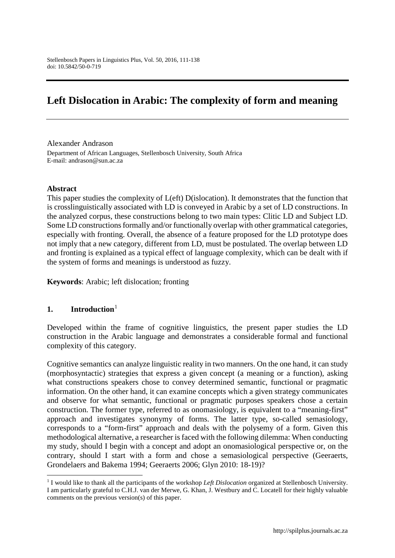# **Left Dislocation in Arabic: The complexity of form and meaning**

Alexander Andrason Department of African Languages, Stellenbosch University, South Africa E-mail: andrason@sun.ac.za

#### **Abstract**

This paper studies the complexity of L(eft) D(islocation). It demonstrates that the function that is crosslinguistically associated with LD is conveyed in Arabic by a set of LD constructions. In the analyzed corpus, these constructions belong to two main types: Clitic LD and Subject LD. Some LD constructions formally and/or functionally overlap with other grammatical categories, especially with fronting. Overall, the absence of a feature proposed for the LD prototype does not imply that a new category, different from LD, must be postulated. The overlap between LD and fronting is explained as a typical effect of language complexity, which can be dealt with if the system of forms and meanings is understood as fuzzy.

**Keywords**: Arabic; left dislocation; fronting

#### **1. Introduction**[1](#page-0-0)

**.** 

Developed within the frame of cognitive linguistics, the present paper studies the LD construction in the Arabic language and demonstrates a considerable formal and functional complexity of this category.

Cognitive semantics can analyze linguistic reality in two manners. On the one hand, it can study (morphosyntactic) strategies that express a given concept (a meaning or a function), asking what constructions speakers chose to convey determined semantic, functional or pragmatic information. On the other hand, it can examine concepts which a given strategy communicates and observe for what semantic, functional or pragmatic purposes speakers chose a certain construction. The former type, referred to as onomasiology, is equivalent to a "meaning-first" approach and investigates synonymy of forms. The latter type, so-called semasiology, corresponds to a "form-first" approach and deals with the polysemy of a form. Given this methodological alternative, a researcher is faced with the following dilemma: When conducting my study, should I begin with a concept and adopt an onomasiological perspective or, on the contrary, should I start with a form and chose a semasiological perspective (Geeraerts, Grondelaers and Bakema 1994; Geeraerts 2006; Glyn 2010: 18-19)?

<span id="page-0-0"></span><sup>1</sup> I would like to thank all the participants of the workshop *Left Dislocation* organized at Stellenbosch University. I am particularly grateful to C.H.J. van der Merwe, G. Khan, J. Westbury and C. Locatell for their highly valuable comments on the previous version(s) of this paper.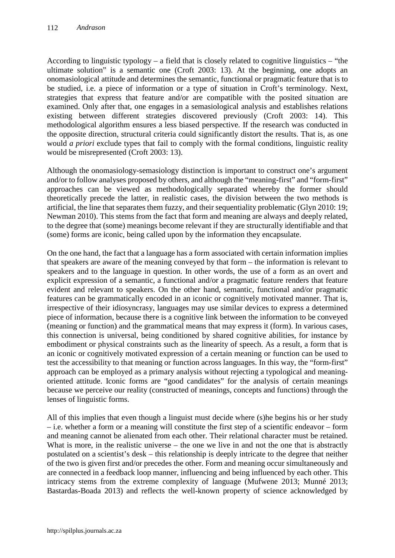According to linguistic typology – a field that is closely related to cognitive linguistics – "the ultimate solution" is a semantic one (Croft 2003: 13). At the beginning, one adopts an onomasiological attitude and determines the semantic, functional or pragmatic feature that is to be studied, i.e. a piece of information or a type of situation in Croft's terminology. Next, strategies that express that feature and/or are compatible with the posited situation are examined. Only after that, one engages in a semasiological analysis and establishes relations existing between different strategies discovered previously (Croft 2003: 14). This methodological algorithm ensures a less biased perspective. If the research was conducted in the opposite direction, structural criteria could significantly distort the results. That is, as one would *a priori* exclude types that fail to comply with the formal conditions, linguistic reality would be misrepresented (Croft 2003: 13).

Although the onomasiology-semasiology distinction is important to construct one's argument and/or to follow analyses proposed by others, and although the "meaning-first" and "form-first" approaches can be viewed as methodologically separated whereby the former should theoretically precede the latter, in realistic cases, the division between the two methods is artificial, the line that separates them fuzzy, and their sequentiality problematic (Glyn 2010: 19; Newman 2010). This stems from the fact that form and meaning are always and deeply related, to the degree that (some) meanings become relevant if they are structurally identifiable and that (some) forms are iconic, being called upon by the information they encapsulate.

On the one hand, the fact that a language has a form associated with certain information implies that speakers are aware of the meaning conveyed by that form – the information is relevant to speakers and to the language in question. In other words, the use of a form as an overt and explicit expression of a semantic, a functional and/or a pragmatic feature renders that feature evident and relevant to speakers. On the other hand, semantic, functional and/or pragmatic features can be grammatically encoded in an iconic or cognitively motivated manner. That is, irrespective of their idiosyncrasy, languages may use similar devices to express a determined piece of information, because there is a cognitive link between the information to be conveyed (meaning or function) and the grammatical means that may express it (form). In various cases, this connection is universal, being conditioned by shared cognitive abilities, for instance by embodiment or physical constraints such as the linearity of speech. As a result, a form that is an iconic or cognitively motivated expression of a certain meaning or function can be used to test the accessibility to that meaning or function across languages. In this way, the "form-first" approach can be employed as a primary analysis without rejecting a typological and meaningoriented attitude. Iconic forms are "good candidates" for the analysis of certain meanings because we perceive our reality (constructed of meanings, concepts and functions) through the lenses of linguistic forms.

All of this implies that even though a linguist must decide where (s)he begins his or her study – i.e. whether a form or a meaning will constitute the first step of a scientific endeavor – form and meaning cannot be alienated from each other. Their relational character must be retained. What is more, in the realistic universe – the one we live in and not the one that is abstractly postulated on a scientist's desk – this relationship is deeply intricate to the degree that neither of the two is given first and/or precedes the other. Form and meaning occur simultaneously and are connected in a feedback loop manner, influencing and being influenced by each other. This intricacy stems from the extreme complexity of language (Mufwene 2013; Munné 2013; Bastardas-Boada 2013) and reflects the well-known property of science acknowledged by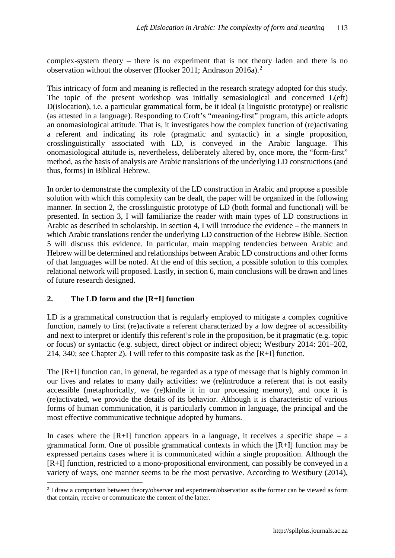complex-system theory – there is no experiment that is not theory laden and there is no observation without the observer (Hooker 2011; Andrason 2016a). [2](#page-2-0)

This intricacy of form and meaning is reflected in the research strategy adopted for this study. The topic of the present workshop was initially semasiological and concerned L(eft) D(islocation), i.e. a particular grammatical form, be it ideal (a linguistic prototype) or realistic (as attested in a language). Responding to Croft's "meaning-first" program, this article adopts an onomasiological attitude. That is, it investigates how the complex function of (re)activating a referent and indicating its role (pragmatic and syntactic) in a single proposition, crosslinguistically associated with LD, is conveyed in the Arabic language. This onomasiological attitude is, nevertheless, deliberately altered by, once more, the "form-first" method, as the basis of analysis are Arabic translations of the underlying LD constructions (and thus, forms) in Biblical Hebrew.

In order to demonstrate the complexity of the LD construction in Arabic and propose a possible solution with which this complexity can be dealt, the paper will be organized in the following manner. In section 2, the crosslinguistic prototype of LD (both formal and functional) will be presented. In section 3, I will familiarize the reader with main types of LD constructions in Arabic as described in scholarship. In section 4, I will introduce the evidence – the manners in which Arabic translations render the underlying LD construction of the Hebrew Bible. Section 5 will discuss this evidence. In particular, main mapping tendencies between Arabic and Hebrew will be determined and relationships between Arabic LD constructions and other forms of that languages will be noted. At the end of this section, a possible solution to this complex relational network will proposed. Lastly, in section 6, main conclusions will be drawn and lines of future research designed.

### **2. The LD form and the [R+I] function**

 $\overline{a}$ 

LD is a grammatical construction that is regularly employed to mitigate a complex cognitive function, namely to first (re)activate a referent characterized by a low degree of accessibility and next to interpret or identify this referent's role in the proposition, be it pragmatic (e.g. topic or focus) or syntactic (e.g. subject, direct object or indirect object; Westbury 2014: 201–202, 214, 340; see Chapter 2). I will refer to this composite task as the [R+I] function.

The [R+I] function can, in general, be regarded as a type of message that is highly common in our lives and relates to many daily activities: we (re)introduce a referent that is not easily accessible (metaphorically, we (re)kindle it in our processing memory), and once it is (re)activated, we provide the details of its behavior. Although it is characteristic of various forms of human communication, it is particularly common in language, the principal and the most effective communicative technique adopted by humans.

In cases where the  $[R+I]$  function appears in a language, it receives a specific shape – a grammatical form. One of possible grammatical contexts in which the [R+I] function may be expressed pertains cases where it is communicated within a single proposition. Although the [R+I] function, restricted to a mono-propositional environment, can possibly be conveyed in a variety of ways, one manner seems to be the most pervasive. According to Westbury (2014),

<span id="page-2-0"></span><sup>&</sup>lt;sup>2</sup> I draw a comparison between theory/observer and experiment/observation as the former can be viewed as form that contain, receive or communicate the content of the latter.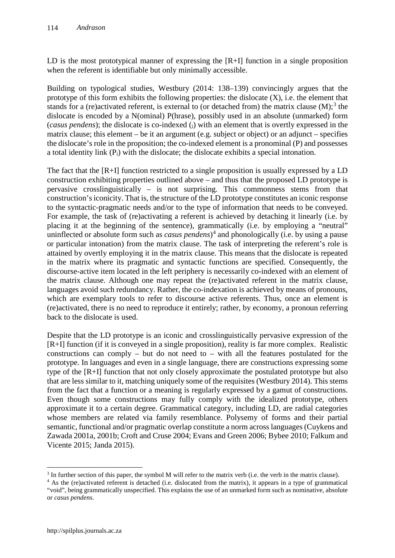LD is the most prototypical manner of expressing the [R+I] function in a single proposition when the referent is identifiable but only minimally accessible.

Building on typological studies, Westbury (2014: 138–139) convincingly argues that the prototype of this form exhibits the following properties: the dislocate (X), i.e. the element that stands for a (re)activated referent, is external to (or detached from) the matrix clause  $(M)$ ;<sup>[3](#page-3-0)</sup> the dislocate is encoded by a N(ominal) P(hrase), possibly used in an absolute (unmarked) form (*casus pendens*); the dislocate is co-indexed (i) with an element that is overtly expressed in the matrix clause; this element – be it an argument (e.g. subject or object) or an adjunct – specifies the dislocate's role in the proposition; the co-indexed element is a pronominal (P) and possesses a total identity link (Pi) with the dislocate; the dislocate exhibits a special intonation.

The fact that the [R+I] function restricted to a single proposition is usually expressed by a LD construction exhibiting properties outlined above – and thus that the proposed LD prototype is pervasive crosslinguistically – is not surprising. This commonness stems from that construction's iconicity. That is, the structure of the LD prototype constitutes an iconic response to the syntactic-pragmatic needs and/or to the type of information that needs to be conveyed. For example, the task of (re)activating a referent is achieved by detaching it linearly (i.e. by placing it at the beginning of the sentence), grammatically (i.e. by employing a "neutral" uninflected or absolute form such as *casus pendens*) [4](#page-3-1) and phonologically (i.e. by using a pause or particular intonation) from the matrix clause. The task of interpreting the referent's role is attained by overtly employing it in the matrix clause. This means that the dislocate is repeated in the matrix where its pragmatic and syntactic functions are specified. Consequently, the discourse-active item located in the left periphery is necessarily co-indexed with an element of the matrix clause. Although one may repeat the (re)activated referent in the matrix clause, languages avoid such redundancy. Rather, the co-indexation is achieved by means of pronouns, which are exemplary tools to refer to discourse active referents. Thus, once an element is (re)activated, there is no need to reproduce it entirely; rather, by economy, a pronoun referring back to the dislocate is used.

Despite that the LD prototype is an iconic and crosslinguistically pervasive expression of the [R+I] function (if it is conveyed in a single proposition), reality is far more complex. Realistic constructions can comply – but do not need to – with all the features postulated for the prototype. In languages and even in a single language, there are constructions expressing some type of the [R+I] function that not only closely approximate the postulated prototype but also that are less similar to it, matching uniquely some of the requisites (Westbury 2014). This stems from the fact that a function or a meaning is regularly expressed by a gamut of constructions. Even though some constructions may fully comply with the idealized prototype, others approximate it to a certain degree. Grammatical category, including LD, are radial categories whose members are related via family resemblance. Polysemy of forms and their partial semantic, functional and/or pragmatic overlap constitute a norm across languages (Cuykens and Zawada 2001a, 2001b; Croft and Cruse 2004; Evans and Green 2006; Bybee 2010; Falkum and Vicente 2015; Janda 2015).

<u>.</u>

<span id="page-3-0"></span><sup>&</sup>lt;sup>3</sup> In further section of this paper, the symbol M will refer to the matrix verb (i.e. the verb in the matrix clause).

<span id="page-3-1"></span><sup>&</sup>lt;sup>4</sup> As the (re)activated referent is detached (i.e. dislocated from the matrix), it appears in a type of grammatical "void", being grammatically unspecified. This explains the use of an unmarked form such as nominative, absolute or *casus pendens*.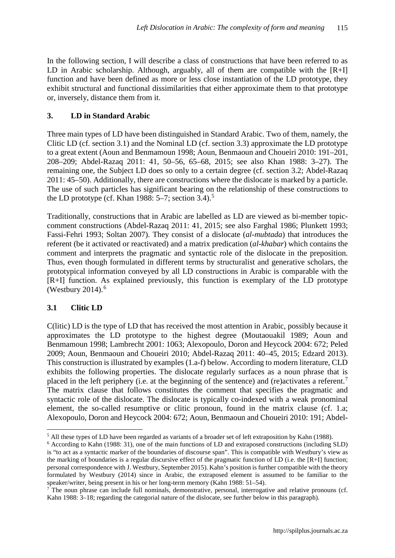In the following section, I will describe a class of constructions that have been referred to as LD in Arabic scholarship. Although, arguably, all of them are compatible with the  $[R+I]$ function and have been defined as more or less close instantiation of the LD prototype, they exhibit structural and functional dissimilarities that either approximate them to that prototype or, inversely, distance them from it.

### **3. LD in Standard Arabic**

Three main types of LD have been distinguished in Standard Arabic. Two of them, namely, the Clitic LD (cf. section 3.1) and the Nominal LD (cf. section 3.3) approximate the LD prototype to a great extent (Aoun and Benmamoun 1998; Aoun, Benmaoun and Choueiri 2010: 191–201, 208–209; Abdel-Razaq 2011: 41, 50–56, 65–68, 2015; see also Khan 1988: 3–27). The remaining one, the Subject LD does so only to a certain degree (cf. section 3.2; Abdel-Razaq 2011: 45–50). Additionally, there are constructions where the dislocate is marked by a particle. The use of such particles has significant bearing on the relationship of these constructions to the LD prototype (cf. Khan 1988:  $5-7$  $5-7$ ; section 3.4).<sup>5</sup>

Traditionally, constructions that in Arabic are labelled as LD are viewed as bi-member topiccomment constructions (Abdel-Razaq 2011: 41, 2015; see also Farghal 1986; Plunkett 1993; Fassi-Fehri 1993; Soltan 2007). They consist of a dislocate (*al-mubtada*) that introduces the referent (be it activated or reactivated) and a matrix predication (*al-khabar*) which contains the comment and interprets the pragmatic and syntactic role of the dislocate in the preposition. Thus, even though formulated in different terms by structuralist and generative scholars, the prototypical information conveyed by all LD constructions in Arabic is comparable with the [R+I] function. As explained previously, this function is exemplary of the LD prototype (Westbury 2014). [6](#page-4-1)

### **3.1 Clitic LD**

**.** 

C(litic) LD is the type of LD that has received the most attention in Arabic, possibly because it approximates the LD prototype to the highest degree (Moutaouakil 1989; Aoun and Benmamoun 1998; Lambrecht 2001: 1063; Alexopoulo, Doron and Heycock 2004: 672; Peled 2009; Aoun, Benmaoun and Choueiri 2010; Abdel-Razaq 2011: 40–45, 2015; Edzard 2013). This construction is illustrated by examples (1.a-f) below. According to modern literature, CLD exhibits the following properties. The dislocate regularly surfaces as a noun phrase that is placed in the left periphery (i.e. at the beginning of the sentence) and (re)activates a referent.<sup>[7](#page-4-2)</sup> The matrix clause that follows constitutes the comment that specifies the pragmatic and syntactic role of the dislocate. The dislocate is typically co-indexed with a weak pronominal element, the so-called resumptive or clitic pronoun, found in the matrix clause (cf. 1.a; Alexopoulo, Doron and Heycock 2004: 672; Aoun, Benmaoun and Choueiri 2010: 191; Abdel-

<span id="page-4-0"></span><sup>5</sup> All these types of LD have been regarded as variants of a broader set of left extraposition by Kahn (1988).

<span id="page-4-1"></span><sup>6</sup> According to Kahn (1988: 31), one of the main functions of LD and extraposed constructions (including SLD) is "to act as a syntactic marker of the boundaries of discourse span". This is compatible with Westbury's view as the marking of boundaries is a regular discursive effect of the pragmatic function of LD (i.e. the [R+I] function; personal correspondence with J. Westbury, September 2015). Kahn's position is further compatible with the theory formulated by Westbury (2014) since in Arabic, the extraposed element is assumed to be familiar to the speaker/writer, being present in his or her long-term memory (Kahn 1988: 51–54).

<span id="page-4-2"></span><sup>&</sup>lt;sup>7</sup> The noun phrase can include full nominals, demonstrative, personal, interrogative and relative pronouns (cf. Kahn 1988: 3–18; regarding the categorial nature of the dislocate, see further below in this paragraph).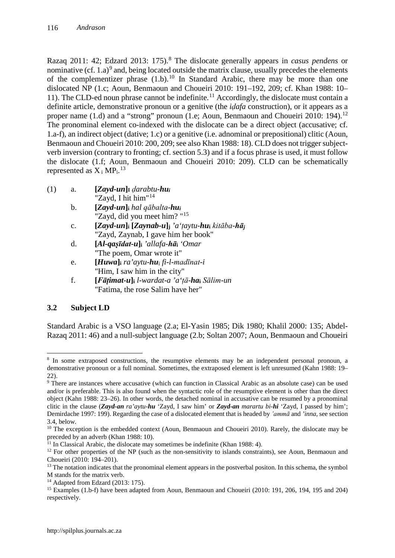Razaq 2011: 42; Edzard 2013: 175). [8](#page-5-0) The dislocate generally appears in *casus pendens* or nominative (cf.  $1.a$ )<sup>[9](#page-5-1)</sup> and, being located outside the matrix clause, usually precedes the elements of the complementizer phrase  $(1.b)^{10}$  $(1.b)^{10}$  $(1.b)^{10}$  In Standard Arabic, there may be more than one dislocated NP (1.c; Aoun, Benmaoun and Choueiri 2010: 191–192, 209; cf. Khan 1988: 10– 11). The CLD-ed noun phrase cannot be indefinite. [11](#page-5-3) Accordingly, the dislocate must contain a definite article, demonstrative pronoun or a genitive (the *iḍafa* construction), or it appears as a proper name  $(1.d)$  and a "strong" pronoun  $(1.e; Aoun, Bennaoun and Choueiri 2010: 194).<sup>12</sup>$  $(1.e; Aoun, Bennaoun and Choueiri 2010: 194).<sup>12</sup>$  $(1.e; Aoun, Bennaoun and Choueiri 2010: 194).<sup>12</sup>$ The pronominal element co-indexed with the dislocate can be a direct object (accusative; cf. 1.a-f), an indirect object (dative; 1.c) or a genitive (i.e. adnominal or prepositional) clitic (Aoun, Benmaoun and Choueiri 2010: 200, 209; see also Khan 1988: 18). CLD does not trigger subjectverb inversion (contrary to fronting; cf. section 5.3) and if a focus phrase is used, it must follow the dislocate (1.f; Aoun, Benmaoun and Choueiri 2010: 209). CLD can be schematically represented as  $X_i$  MP<sub>i</sub>.<sup>[13](#page-5-5)</sup>

- (1) a. **[***Zayd-un***]I** *ḍarabtu-hui* "Zayd, I hit him"<sup>[14](#page-5-6)</sup>
	- b. **[***Zayd-un***]i** *hal qābalta-hui* "Zayd, did you meet him? "[15](#page-5-7)
	- c. **[***Zayd-un***]i [***Zaynab-u***]j** *'a'ṭaytu-hu***<sup>i</sup>** *kitāba-hā<sup>j</sup>* "Zayd, Zaynab, I gave him her book"
	- d. **[***Al-qaṣīdat-u***]i** *'allafa-hā***<sup>i</sup>** *'Omar* "The poem, Omar wrote it"
	- e. **[***Huwa***]i** *ra'aytu-hu*<sup>i</sup> *fi-l-madīnat-i* "Him, I saw him in the city"
	- f. **[***Fāṭimat-u***]i** *l-wardat-a 'a'ṭā-ha***<sup>i</sup>** *Sālim-un* "Fatima, the rose Salim have her"

# **3.2 Subject LD**

Standard Arabic is a VSO language (2.a; El-Yasin 1985; Dik 1980; Khalil 2000: 135; Abdel-Razaq 2011: 46) and a null-subject language (2.b; Soltan 2007; Aoun, Benmaoun and Choueiri

<sup>14</sup> Adapted from Edzard (2013: 175).

<span id="page-5-0"></span><sup>&</sup>lt;u>.</u> <sup>8</sup> In some extraposed constructions, the resumptive elements may be an independent personal pronoun, a demonstrative pronoun or a full nominal. Sometimes, the extraposed element is left unresumed (Kahn 1988: 19– 22).

<span id="page-5-1"></span><sup>&</sup>lt;sup>9</sup> There are instances where accusative (which can function in Classical Arabic as an absolute case) can be used and/or is preferable. This is also found when the syntactic role of the resumptive element is other than the direct object (Kahn 1988: 23–26). In other words, the detached nominal in accusative can be resumed by a pronominal clitic in the clause (*Zayd-an ra'aytu-hu* 'Zayd, I saw him' or *Zayd-an marartu bi-hi* 'Zayd, I passed by him'; Demirdache 1997: 199). Regarding the case of a dislocated element that is headed by *'ammā* and *'inna*, see section 3.4, below.

<span id="page-5-2"></span> $10$  The exception is the embedded context (Aoun, Benmaoun and Choueiri 2010). Rarely, the dislocate may be preceded by an adverb (Khan 1988: 10).

<span id="page-5-3"></span> $11$  In Classical Arabic, the dislocate may sometimes be indefinite (Khan 1988: 4).

<span id="page-5-4"></span><sup>&</sup>lt;sup>12</sup> For other properties of the NP (such as the non-sensitivity to islands constraints), see Aoun, Benmaoun and Choueiri (2010: 194–201).

<span id="page-5-5"></span> $13$  The notation indicates that the pronominal element appears in the postverbal positon. In this schema, the symbol M stands for the matrix verb.

<span id="page-5-7"></span><span id="page-5-6"></span><sup>15</sup> Examples (1.b-f) have been adapted from Aoun, Benmaoun and Choueiri (2010: 191, 206, 194, 195 and 204) respectively.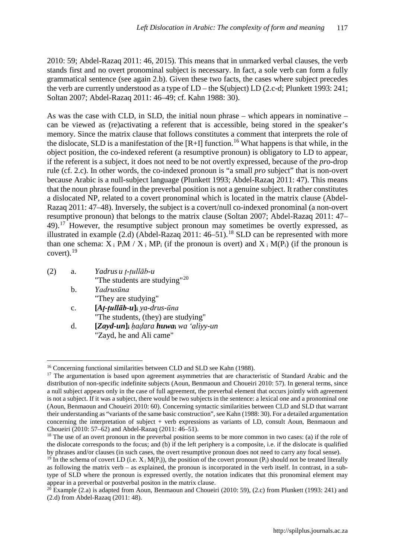2010: 59; Abdel-Razaq 2011: 46, 2015). This means that in unmarked verbal clauses, the verb stands first and no overt pronominal subject is necessary. In fact, a sole verb can form a fully grammatical sentence (see again 2.b). Given these two facts, the cases where subject precedes the verb are currently understood as a type of LD – the S(ubject) LD (2.c-d; Plunkett 1993: 241; Soltan 2007; Abdel-Razaq 2011: 46–49; cf. Kahn 1988: 30).

As was the case with CLD, in SLD, the initial noun phrase – which appears in nominative – can be viewed as (re)activating a referent that is accessible, being stored in the speaker's memory. Since the matrix clause that follows constitutes a comment that interprets the role of the dislocate, SLD is a manifestation of the  $[R+I]$  function.<sup>[16](#page-6-0)</sup> What happens is that while, in the object position, the co-indexed referent (a resumptive pronoun) is obligatory to LD to appear, if the referent is a subject, it does not need to be not overtly expressed, because of the *pro*-drop rule (cf. 2.c). In other words, the co-indexed pronoun is "a small *pro* subject" that is non-overt because Arabic is a null-subject language (Plunkett 1993; Abdel-Razaq 2011: 47). This means that the noun phrase found in the preverbal position is not a genuine subject. It rather constitutes a dislocated NP, related to a covert pronominal which is located in the matrix clause (Abdel-Razaq 2011: 47–48). Inversely, the subject is a covert/null co-indexed pronominal (a non-overt resumptive pronoun) that belongs to the matrix clause (Soltan 2007; Abdel-Razaq 2011: 47– 49).<sup>[17](#page-6-1)</sup> However, the resumptive subject pronoun may sometimes be overtly expressed, as illustrated in example  $(2.d)$  (Abdel-Razaq 2011:  $46-51$ ).<sup>[18](#page-6-2)</sup> SLD can be represented with more than one schema:  $\overline{X}_i$  P<sub>i</sub>M /  $\overline{X}_i$  MP<sub>i</sub> (if the pronoun is overt) and  $\overline{X}_i$  M(P<sub>i</sub>) (if the pronoun is  $cover t$ ).  $^{19}$  $^{19}$  $^{19}$ 

| (2) | a.             | Yadrus u t-țullāb-u                          |
|-----|----------------|----------------------------------------------|
|     |                | "The students are studying" <sup>20</sup>    |
|     | $h_{\cdot}$    | Yadrusūna                                    |
|     |                | "They are studying"                          |
|     | $\mathbf{C}$ . | $[At$ -tullāb-u $]$ <sub>i</sub> ya-drus-ūna |
|     |                | "The students, (they) are studying"          |
|     | d.             | [Zayd-un] hadara huwa wa 'aliyy-un           |
|     |                | "Zayd, he and Ali came"                      |
|     |                |                                              |

 $\overline{a}$ <sup>16</sup> Concerning functional similarities between CLD and SLD see Kahn (1988).

<span id="page-6-1"></span><span id="page-6-0"></span><sup>&</sup>lt;sup>17</sup> The argumentation is based upon agreement asymmetries that are characteristic of Standard Arabic and the distribution of non-specific indefinite subjects (Aoun, Benmaoun and Choueiri 2010: 57). In general terms, since a null subject appears only in the case of full agreement, the preverbal element that occurs jointly with agreement is not a subject. If it was a subject, there would be two subjects in the sentence: a lexical one and a pronominal one (Aoun, Benmaoun and Choueiri 2010: 60). Concerning syntactic similarities between CLD and SLD that warrant their understanding as "variants of the same basic construction", see Kahn (1988: 30). For a detailed argumentation concerning the interpretation of subject + verb expressions as variants of LD, consult Aoun, Benmaoun and Choueiri (2010: 57–62) and Abdel-Razaq (2011: 46–51).

<span id="page-6-2"></span><sup>&</sup>lt;sup>18</sup> The use of an overt pronoun in the preverbal position seems to be more common in two cases: (a) if the role of the dislocate corresponds to the focus; and (b) if the left periphery is a composite, i.e. if the dislocate is qualified by phrases and/or clauses (in such cases, the overt resumptive pronoun does not need to carry any focal sense).

<span id="page-6-3"></span><sup>&</sup>lt;sup>19</sup> In the schema of covert LD (i.e.  $X_i M(P_i)$ ), the position of the covert pronoun (P<sub>i</sub>) should not be treated literally as following the matrix verb – as explained, the pronoun is incorporated in the verb itself. In contrast, in a subtype of SLD where the pronoun is expressed overtly, the notation indicates that this pronominal element may appear in a preverbal or postverbal positon in the matrix clause.

<span id="page-6-4"></span> $^{20}$  Example (2.a) is adapted from Aoun, Benmaoun and Choueiri (2010: 59), (2.c) from Plunkett (1993: 241) and (2.d) from Abdel-Razaq (2011: 48).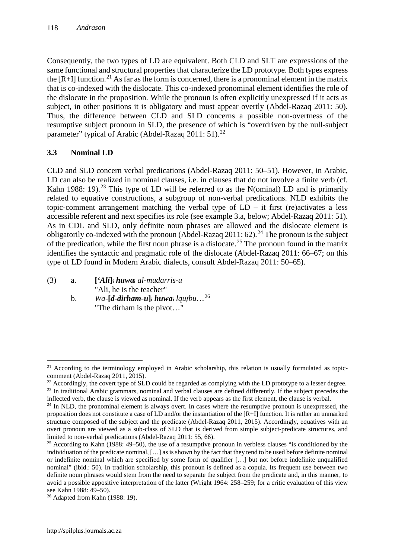Consequently, the two types of LD are equivalent. Both CLD and SLT are expressions of the same functional and structural properties that characterize the LD prototype. Both types express the  $[R+I]$  function.<sup>[21](#page-7-0)</sup> As far as the form is concerned, there is a pronominal element in the matrix that is co-indexed with the dislocate. This co-indexed pronominal element identifies the role of the dislocate in the proposition. While the pronoun is often explicitly unexpressed if it acts as subject, in other positions it is obligatory and must appear overtly (Abdel-Razaq 2011: 50). Thus, the difference between CLD and SLD concerns a possible non-overtness of the resumptive subject pronoun in SLD, the presence of which is "overdriven by the null-subject parameter" typical of Arabic (Abdel-Razaq 2011: 51).<sup>[22](#page-7-1)</sup>

# **3.3 Nominal LD**

CLD and SLD concern verbal predications (Abdel-Razaq 2011: 50–51). However, in Arabic, LD can also be realized in nominal clauses, i.e. in clauses that do not involve a finite verb (cf. Kahn 1988: 19).<sup>[23](#page-7-2)</sup> This type of LD will be referred to as the N(ominal) LD and is primarily related to equative constructions, a subgroup of non-verbal predications. NLD exhibits the topic-comment arrangement matching the verbal type of  $LD - it$  first (re)activates a less accessible referent and next specifies its role (see example 3.a, below; Abdel-Razaq 2011: 51). As in CDL and SLD, only definite noun phrases are allowed and the dislocate element is obligatorily co-indexed with the pronoun (Abdel-Razaq 2011: 62).<sup>[24](#page-7-3)</sup> The pronoun is the subject of the predication, while the first noun phrase is a dislocate.<sup>[25](#page-7-4)</sup> The pronoun found in the matrix identifies the syntactic and pragmatic role of the dislocate (Abdel-Razaq 2011: 66–67; on this type of LD found in Modern Arabic dialects, consult Abdel-Razaq 2011: 50–65).

- (3) a. **[***'Ali***]i** *huwa***<sup>i</sup>** *al-mudarris-u* "Ali, he is the teacher"
	- b. *Wa*-[*d-dirham-u*]<sup>i</sup> *huwa*<sup>i</sup> *lqutbu*...<sup>[26](#page-7-5)</sup> "The dirham is the pivot…"

<span id="page-7-0"></span> $\overline{a}$  $21$  According to the terminology employed in Arabic scholarship, this relation is usually formulated as topiccomment (Abdel-Razaq 2011, 2015).

<span id="page-7-2"></span><span id="page-7-1"></span> $^{22}$  Accordingly, the covert type of SLD could be regarded as complying with the LD prototype to a lesser degree. <sup>23</sup> In traditional Arabic grammars, nominal and verbal clauses are defined differently. If the subject precedes the inflected verb, the clause is viewed as nominal. If the verb appears as the first element, the clause is verbal.

<span id="page-7-3"></span><sup>&</sup>lt;sup>24</sup> In NLD, the pronominal element is always overt. In cases where the resumptive pronoun is unexpressed, the proposition does not constitute a case of LD and/or the instantiation of the [R+I] function. It is rather an unmarked structure composed of the subject and the predicate (Abdel-Razaq 2011, 2015). Accordingly, equatives with an overt pronoun are viewed as a sub-class of SLD that is derived from simple subject-predicate structures, and limited to non-verbal predications (Abdel-Razaq 2011: 55, 66).

<span id="page-7-4"></span> $25$  According to Kahn (1988: 49–50), the use of a resumptive pronoun in verbless clauses "is conditioned by the individuation of the predicate nominal, […] as is shown by the fact that they tend to be used before definite nominal or indefinite nominal which are specified by some form of qualifier […] but not before indefinite unqualified nominal" (ibid.: 50). In tradition scholarship, this pronoun is defined as a copula. Its frequent use between two definite noun phrases would stem from the need to separate the subject from the predicate and, in this manner, to avoid a possible appositive interpretation of the latter (Wright 1964: 258–259; for a critic evaluation of this view see Kahn 1988: 49–50).

<span id="page-7-5"></span><sup>26</sup> Adapted from Kahn (1988: 19).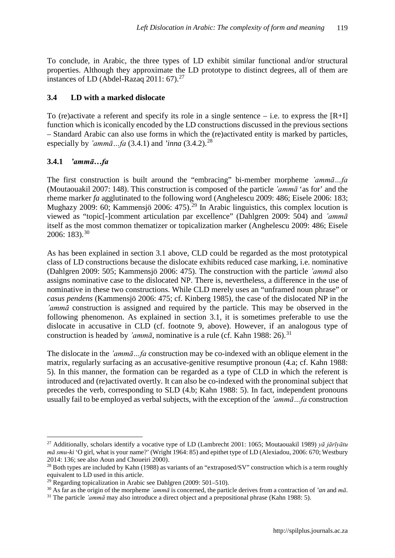To conclude, in Arabic, the three types of LD exhibit similar functional and/or structural properties. Although they approximate the LD prototype to distinct degrees, all of them are instances of LD (Abdel-Razaq 2011:  $67$ ).<sup>[27](#page-8-0)</sup>

### **3.4 LD with a marked dislocate**

To (re)activate a referent and specify its role in a single sentence – i.e. to express the  $[R+I]$ function which is iconically encoded by the LD constructions discussed in the previous sections – Standard Arabic can also use forms in which the (re)activated entity is marked by particles, especially by  $\text{Zammā} \dots \text{fa}$  (3.4.1) and  $\text{Zinna}$  (3.4.2).<sup>[28](#page-8-1)</sup>

### **3.4.1** *'ammā…fa*

 $\overline{a}$ 

The first construction is built around the "embracing" bi-member morpheme *'ammā…fa* (Moutaouakil 2007: 148). This construction is composed of the particle *'ammā* 'as for' and the rheme marker *fa* agglutinated to the following word (Anghelescu 2009: 486; Eisele 2006: 183; Mughazy 2009: 60; Kammensiö 2006: 475).<sup>[29](#page-8-2)</sup> In Arabic linguistics, this complex locution is viewed as "topic[-]comment articulation par excellence" (Dahlgren 2009: 504) and *'ammā*  itself as the most common thematizer or topicalization marker (Anghelescu 2009: 486; Eisele 2006: 183). [30](#page-8-3)

As has been explained in section 3.1 above, CLD could be regarded as the most prototypical class of LD constructions because the dislocate exhibits reduced case marking, i.e. nominative (Dahlgren 2009: 505; Kammensjö 2006: 475). The construction with the particle *'ammā* also assigns nominative case to the dislocated NP. There is, nevertheless, a difference in the use of nominative in these two constructions. While CLD merely uses an "unframed noun phrase" or *casus pendens* (Kammensjö 2006: 475; cf. Kinberg 1985), the case of the dislocated NP in the *'ammā* construction is assigned and required by the particle. This may be observed in the following phenomenon. As explained in section 3.1, it is sometimes preferable to use the dislocate in accusative in CLD (cf. footnote 9, above). However, if an analogous type of construction is headed by *'ammā*, nominative is a rule (cf. Kahn 1988: 26).<sup>[31](#page-8-4)</sup>

The dislocate in the *'ammā…fa* construction may be co-indexed with an oblique element in the matrix, regularly surfacing as an accusative-genitive resumptive pronoun (4.a; cf. Kahn 1988: 5). In this manner, the formation can be regarded as a type of CLD in which the referent is introduced and (re)activated overtly. It can also be co-indexed with the pronominal subject that precedes the verb, corresponding to SLD (4.b; Kahn 1988: 5). In fact, independent pronouns usually fail to be employed as verbal subjects, with the exception of the *'ammā…fa* construction

<span id="page-8-0"></span><sup>27</sup> Additionally, scholars identify a vocative type of LD (Lambrecht 2001: 1065; Moutaouakil 1989) *yā jārīyātu mā smu-ki* 'O girl, what is your name?' (Wright 1964: 85) and epithet type of LD (Alexiadou, 2006: 670; Westbury 2014: 136; see also Aoun and Choueiri 2000).

<span id="page-8-1"></span> $^{28}$  Both types are included by Kahn (1988) as variants of an "extraposed/SV" construction which is a term roughly equivalent to LD used in this article.

<span id="page-8-2"></span> $^{29}$  Regarding topicalization in Arabic see Dahlgren (2009: 501–510).

<span id="page-8-3"></span><sup>30</sup> As far as the origin of the morpheme *'ammā* is concerned, the particle derives from a contraction of *'an* and *mā*.

<span id="page-8-4"></span><sup>31</sup> The particle *'ammā* may also introduce a direct object and a prepositional phrase (Kahn 1988: 5).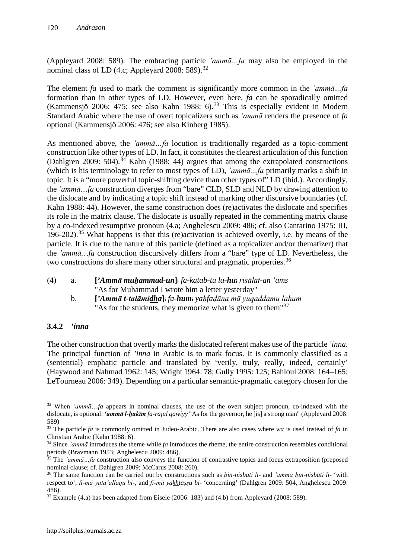(Appleyard 2008: 589). The embracing particle *'ammā…fa* may also be employed in the nominal class of LD (4.c; Appleyard 2008: 589). $^{32}$  $^{32}$  $^{32}$ 

The element *fa* used to mark the comment is significantly more common in the *'ammā…fa* formation than in other types of LD. However, even here, *fa* can be sporadically omitted (Kammensjö 2006: 475; see also Kahn 1988: 6).<sup>[33](#page-9-1)</sup> This is especially evident in Modern Standard Arabic where the use of overt topicalizers such as *'ammā* renders the presence of *fa* optional (Kammensjö 2006: 476; see also Kinberg 1985).

As mentioned above, the *'ammā…fa* locution is traditionally regarded as a topic-comment construction like other types of LD. In fact, it constitutes the clearest articulation of this function (Dahlgren 2009: 504).<sup>[34](#page-9-2)</sup> Kahn (1988: 44) argues that among the extrapolated constructions (which is his terminology to refer to most types of LD), *'ammā…fa* primarily marks a shift in topic. It is a "more powerful topic-shifting device than other types of" LD (ibid.). Accordingly, the *'ammā…fa* construction diverges from "bare" CLD, SLD and NLD by drawing attention to the dislocate and by indicating a topic shift instead of marking other discursive boundaries (cf. Kahn 1988: 44). However, the same construction does (re)activates the dislocate and specifies its role in the matrix clause. The dislocate is usually repeated in the commenting matrix clause by a co-indexed resumptive pronoun (4.a; Anghelescu 2009: 486; cf. also Cantarino 1975: III, 196-202).<sup>[35](#page-9-3)</sup> What happens is that this (re)activation is achieved overtly, i.e. by means of the particle. It is due to the nature of this particle (defined as a topicalizer and/or thematizer) that the *'ammā…fa* construction discursively differs from a "bare" type of LD. Nevertheless, the two constructions do share many other structural and pragmatic properties.<sup>[36](#page-9-4)</sup>

(4) a. **[***'Ammā muḥammad-un***]i** *fa-katab-tu la-hu***<sup>i</sup>** *risālat-an 'ams* "As for Muhammad I wrote him a letter yesterday"

b. **[***'Ammā t-talāmidha***]i** *fa-hum***<sup>i</sup>** *yaḥfaḍūna mā yuqaddamu lahum* "As for the students, they memorize what is given to them"<sup>[37](#page-9-5)</sup>

### **3.4.2** *'inna*

The other construction that overtly marks the dislocated referent makes use of the particle *'inna*. The principal function of *'inna* in Arabic is to mark focus. It is commonly classified as a (sentential) emphatic particle and translated by 'verily, truly, really, indeed, certainly' (Haywood and Nahmad 1962: 145; Wright 1964: 78; Gully 1995: 125; Bahloul 2008: 164–165; LeTourneau 2006: 349). Depending on a particular semantic-pragmatic category chosen for the

<span id="page-9-0"></span>**<sup>.</sup>** <sup>32</sup> When *'ammā*…*fa* appears in nominal clauses, the use of the overt subject pronoun, co-indexed with the dislocate, is optional: *'ammā l-ḥakīm fa-rajul qawiyy* "As for the governor, he [is] a strong man" (Appleyard 2008: 589)

<span id="page-9-1"></span><sup>33</sup> The particle *fa* is commonly omitted in Judeo-Arabic. There are also cases where *wa* is used instead of *fa* in Christian Arabic (Kahn 1988: 6).

<span id="page-9-2"></span><sup>34</sup> Since *'ammā* introduces the theme while *fa* introduces the rheme, the entire construction resembles conditional periods (Bravmann 1953; Anghelescu 2009: 486).

<span id="page-9-3"></span><sup>&</sup>lt;sup>35</sup> The *'ammā*...fa construction also conveys the function of contrastive topics and focus extraposition (preposed nominal clause; cf. Dahlgren 2009; McCarus 2008: 260).

<span id="page-9-4"></span><sup>36</sup> The same function can be carried out by constructions such as *bin-nisbati li-* and *'ammā bin-nisbati li-* 'with respect to', *fī-mā yata'allaqu bi-*, and *fī-mā yakhtaṣṣu bi-* 'concerning' (Dahlgren 2009: 504, Anghelescu 2009: 486).

<span id="page-9-5"></span> $37$  Example (4.a) has been adapted from Eisele (2006: 183) and (4.b) from Appleyard (2008: 589).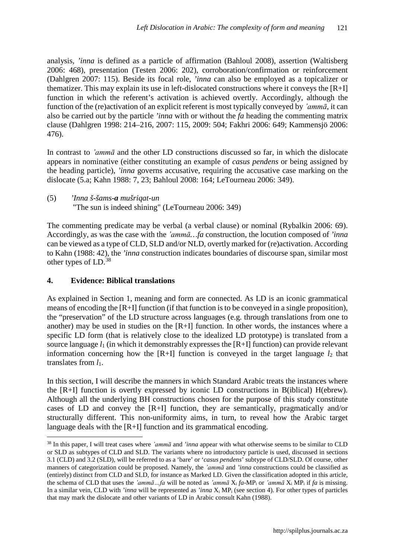analysis, *'inna* is defined as a particle of affirmation (Bahloul 2008), assertion (Waltisberg 2006: 468), presentation (Testen 2006: 202), corroboration/confirmation or reinforcement (Dahlgren 2007: 115). Beside its focal role, *'inna* can also be employed as a topicalizer or thematizer. This may explain its use in left-dislocated constructions where it conveys the [R+I] function in which the referent's activation is achieved overtly. Accordingly, although the function of the (re)activation of an explicit referent is most typically conveyed by *'ammā*, it can also be carried out by the particle *'inna* with or without the *fa* heading the commenting matrix clause (Dahlgren 1998: 214–216, 2007: 115, 2009: 504; Fakhri 2006: 649; Kammensjö 2006: 476).

In contrast to *'ammā* and the other LD constructions discussed so far, in which the dislocate appears in nominative (either constituting an example of *casus pendens* or being assigned by the heading particle), *'inna* governs accusative, requiring the accusative case marking on the dislocate (5.a; Kahn 1988: 7, 23; Bahloul 2008: 164; LeTourneau 2006: 349).

(5) *'Inna š-šams-a mušriqat-un* "The sun is indeed shining" (LeTourneau 2006: 349)

The commenting predicate may be verbal (a verbal clause) or nominal (Rybalkin 2006: 69). Accordingly, as was the case with the *'ammā…fa* construction, the locution composed of *'inna* can be viewed as a type of CLD, SLD and/or NLD, overtly marked for (re)activation. According to Kahn (1988: 42), the *'inna* construction indicates boundaries of discourse span, similar most other types of LD. [38](#page-10-0)

## **4. Evidence: Biblical translations**

 $\overline{a}$ 

As explained in Section 1, meaning and form are connected. As LD is an iconic grammatical means of encoding the [R+I] function (if that function is to be conveyed in a single proposition), the "preservation" of the LD structure across languages (e.g. through translations from one to another) may be used in studies on the [R+I] function. In other words, the instances where a specific LD form (that is relatively close to the idealized LD prototype) is translated from a source language  $l_1$  (in which it demonstrably expresses the  $[R+I]$  function) can provide relevant information concerning how the  $[R+I]$  function is conveyed in the target language  $l_2$  that translates from *l*1.

In this section, I will describe the manners in which Standard Arabic treats the instances where the [R+I] function is overtly expressed by iconic LD constructions in B(iblical) H(ebrew). Although all the underlying BH constructions chosen for the purpose of this study constitute cases of LD and convey the [R+I] function, they are semantically, pragmatically and/or structurally different. This non-uniformity aims, in turn, to reveal how the Arabic target language deals with the [R+I] function and its grammatical encoding.

<span id="page-10-0"></span><sup>38</sup> In this paper, I will treat cases where *'ammā* and *'inna* appear with what otherwise seems to be similar to CLD or SLD as subtypes of CLD and SLD. The variants where no introductory particle is used, discussed in sections 3.1 (CLD) and 3.2 (SLD), will be referred to as a 'bare' or '*casus pendens*' subtype of CLD/SLD. Of course, other manners of categorization could be proposed. Namely, the *'ammā* and *'inna* constructions could be classified as (entirely) distinct from CLD and SLD, for instance as Marked LD. Given the classification adopted in this article, the schema of CLD that uses the *'ammā…fa* will be noted as *'ammā* Xi *fa*-MPi or *'ammā* Xi MPi if *fa* is missing. In a similar vein, CLD with *'inna* will be represented as *'inna* Xi MPi (see section 4). For other types of particles that may mark the dislocate and other variants of LD in Arabic consult Kahn (1988).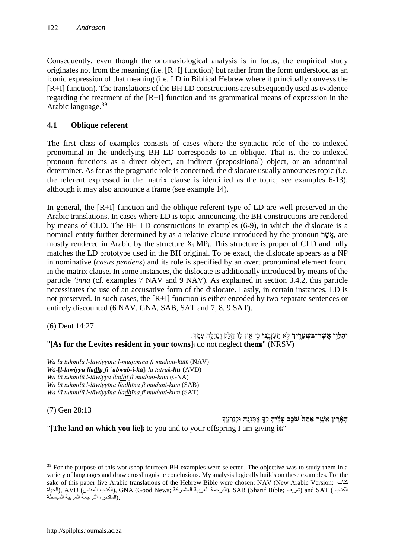Consequently, even though the onomasiological analysis is in focus, the empirical study originates not from the meaning (i.e. [R+I] function) but rather from the form understood as an iconic expression of that meaning (i.e. LD in Biblical Hebrew where it principally conveys the [R+I] function). The translations of the BH LD constructions are subsequently used as evidence regarding the treatment of the [R+I] function and its grammatical means of expression in the Arabic language. [39](#page-11-0)

# **4.1 Oblique referent**

The first class of examples consists of cases where the syntactic role of the co-indexed pronominal in the underlying BH LD corresponds to an oblique. That is, the co-indexed pronoun functions as a direct object, an indirect (prepositional) object, or an adnominal determiner. As far as the pragmatic role is concerned, the dislocate usually announces topic (i.e. the referent expressed in the matrix clause is identified as the topic; see examples 6-13), although it may also announce a frame (see example 14).

In general, the [R+I] function and the oblique-referent type of LD are well preserved in the Arabic translations. In cases where LD is topic-announcing, the BH constructions are rendered by means of CLD. The BH LD constructions in examples (6-9), in which the dislocate is a nominal entity further determined by as a relative clause introduced by the pronoun הַאֲשֶׁר, are mostly rendered in Arabic by the structure  $X_i$  MP<sub>i</sub>. This structure is proper of CLD and fully matches the LD prototype used in the BH original. To be exact, the dislocate appears as a NP in nominative (*casus pendens*) and its role is specified by an overt pronominal element found in the matrix clause. In some instances, the dislocate is additionally introduced by means of the particle *'inna* (cf. examples 7 NAV and 9 NAV). As explained in section 3.4.2, this particle necessitates the use of an accusative form of the dislocate. Lastly, in certain instances, LD is not preserved. In such cases, the [R+I] function is either encoded by two separate sentences or entirely discounted (6 NAV, GNA, SAB, SAT and 7, 8, 9 SAT).

(6) Deut 14:27

**וְהַלֵּוִי אֲשֶׁר־בִּשְׁעָרֶיךָ** לְאֹ תַעַזְבֱנּוּ כִּי אֵין לֵוֹ חֵלֶק וְנַחֲלֻה עִמֶּךְ׃ "**[As for the Levites resident in your towns]i** do not neglect **themi**" (NRSV)

*Wa lā tuhmilū l-lāwiyyīna l-muqīmīna fī muduni-kum* (NAV) *Wa*-**[***l-lāwiyyu lladhī fī 'abwāb-i-ka***]i** *lā tatruk-hu***<sup>i</sup>** (AVD) *Wa lā tuhmilū l-lāwiyya lladhī fī muduni-kum* (GNA) *Wa lā tuhmilū l-lāwiyyīna lladhīna fī muduni-kum* (SAB) *Wa lā tuhmilū l-lāwiyyīna lladhīna fī muduni-kum* (SAT)

(7) Gen 28:13

 $\overline{a}$ 

**הָ אָ֗ רֶ ץ אֲשֶׁ ֤ ר אַ תָּ ה֙ שֹׁכֵ֣ב עָלֶ֔ יהָ** לְ�֥ אֶ תְּ נֶ ֖ **נָּה** וּלְזַרְ עֶֽ � "**[The land on which you lie]i** to you and to your offspring I am giving **iti**"

<span id="page-11-0"></span><sup>&</sup>lt;sup>39</sup> For the purpose of this workshop fourteen BH examples were selected. The objective was to study them in a variety of languages and draw crosslinguistic conclusions. My analysis logically builds on these examples. For the sake of this paper five Arabic translations of the Hebrew Bible were chosen: NAV (New Arabic Version; كتاب الكتاب ), AVD (المقدس الكتاب), GNA (Good News; الكتاب), SAB (Sharif Bible; شریف) and SAT ( الكتاب المقدس), AVD .(المقدس، الترجمة العربیة المبسطة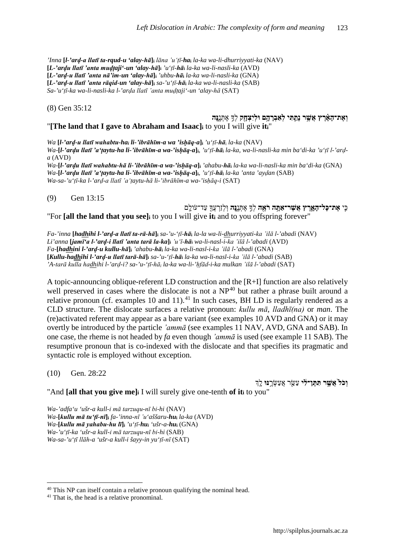*'Inna* **[***l-'arḍ-a llatī ta-rqud-u 'alay-hā***]i** *lāna 'u'ṭī-ha***<sup>i</sup>** *la-ka wa-li-dhurriyyati-ka* (NAV) **[***L-'arḍu llatī 'anta muḍṭaji'-un 'alay-hā***]i** *'u'ṭī-hā***<sup>i</sup>** *la-ka wa-li-nasli-ka* (AVD) **[***L-'arḍ-u llatī 'anta nā'im-un 'alay-hā***]i** *'uhbu-hā***<sup>i</sup>** *la-ka wa-li-nasli-ka* (GNA) **[***L-'arḍ-u llatī 'anta rāqid-un 'alay-hā***]i** *sa-'u'ṭī-hā***<sup>i</sup>** *la-ka wa-li-nasli-ka* (SAB) *Sa-'u'ṭī-ka wa-li-nasli-ka l-'arḍa llatī 'anta muḍṭaji'-un 'alay-hā* (SAT)

(8) Gen 35:12

#### **וְ אֶת־הָאָרֶץ אֲשֶׁר נְתָתִּי לְאַבְרָהָם וּלִיצְחָק** לְךָ אֶתְּנֶנָּה "**[The land that I gave to Abraham and Isaac]i** to you I will give **iti**"

*Wa* **[***l-'arḍ-u llatī wahabtu-hai li-'ibrāhīm-a wa 'isḥāq-a***]i** *'u'ṭī-hā*<sup>i</sup> *la-ka* (NAV) Wa-[l-'ardu llatī 'a'taytu-ha li-'ibrāhīm-a wa-'ishāq-a]i, 'u'tī-hāi la-ka, wa-li-nasli-ka min ba'di-ka 'u'tī l-'ard*a* (AVD) *Wa*-**[***l-'arḍu llatī wahabtu-hā li-'ibrāhīm-a wa-'isḥāq-a***]i** *'ahabu-hā***<sup>i</sup>** *la-ka wa-li-nasli-ka min ba'di-ka* (GNA) *Wa*-**[***l-'arḍu llatī 'a'ṭaytu-ha li-'ibrāhīm-a wa-'isḥāq-a***]i**, *'u'ṭī-hā***<sup>i</sup>** *la-ka 'anta 'ayḍan* (SAB) *Wa-sa-'u'ṭī-ka l-'arḍ-a llatī 'a'ṭaytu-hā li-'ibrāhīm-a wa-'isḥāq-i* (SAT)

(9) Gen 13:15

כִּ ֧ י **אֶ ת־כָּל־הָ אָ ֛ רֶ ץ אֲשֶׁ ר־אַ תָּ ֥ ה רֹאֶ ֖ ה** לְ�֣ אֶ תְּ נֶ ֑ **נָּה** וּֽ לְזַרְ עֲ�֖ עַד־עֹולָֽ ם "For **[all the land that you see]i** to you I will give **iti** and to you offspring forever"

Fa-'inna [hadhihi l-'ard-a llatī ta-rā-hā]; sa-'u-'tī-hā; la-la wa-li-dhurriyyati-ka 'ilā l-'abadi (NAV) *Li'anna* **[***jamī'a l-'arḍ-i llatī 'anta tarā la-ka***]i** *'u'ī-hā***<sup>i</sup>** *wa-li-nasl-i-ka 'ilā l-'abadi* (AVD) *Fa*-**[***hadhini l-'arḍ-u kullu-hā***]i** *'ahabu-hā***<sup>i</sup>** *la-ka wa-li-nasl-i-ka 'ilā l-'abadi* (GNA) **[***Kullu-hadhihi l-'arḍ-u llatī tarā-hā***]i** *sa-'u-'ṭī-hā***<sup>i</sup>** *la-ka wa-li-nasl-i-ka 'ilā l-'abadi* (SAB) *'A-tarā kulla hadhihi l-'arḍ-i? sa-'u-'ṭī-hā<sup>i</sup> la-ka wa-li-'ḥfād-i-ka mulkan 'ilā l-'abadi* (SAT)

A topic-announcing oblique-referent LD construction and the [R+I] function are also relatively well preserved in cases where the dislocate is not a  $NP<sup>40</sup>$  $NP<sup>40</sup>$  $NP<sup>40</sup>$  but rather a phrase built around a relative pronoun (cf. examples 10 and 11).<sup>[41](#page-12-1)</sup> In such cases, BH LD is regularly rendered as a CLD structure. The dislocate surfaces a relative pronoun: *kullu mā*, *lladhī(na)* or *man*. The (re)activated referent may appear as a bare variant (see examples 10 AVD and GNA) or it may overtly be introduced by the particle *'ammā* (see examples 11 NAV, AVD, GNA and SAB). In one case, the rheme is not headed by *fa* even though *'ammā* is used (see example 11 SAB). The resumptive pronoun that is co-indexed with the dislocate and that specifies its pragmatic and syntactic role is employed without exception.

(10) Gen. 28:22

 $\overline{a}$ 

**וְכֹל<sup>י</sup> אֲשֵׁר תִּתֵּן־לִׂי** עַשֵּׂר אֲעַשְׂרֵנּוּ לֵדְ

"And **[all that you give me]i** I will surely give one-tenth **of iti** to you"

*Wa-'adfa'u 'ušr-a kull-i mā tarzuqu-nī bi-hi* (NAV) *Wa*-**[***kullu mā tu'ṭī-nī***]i** *fa-'inna-nī 'u'aššaru-hu***<sup>i</sup>** *la-ka* (AVD) *Wa*-**[***kullu mā yahabu-hu lī***]i** *'u'ṭī-hui 'ušr-a-hu***<sup>i</sup>** (GNA) *Wa-'u'ṭī-ka 'ušr-a kull-i mā tarzuqu-nī bi-hi* (SAB) *Wa-sa-'u'ṭī llāh-a 'ušr-a kull-i šayy-in yu'ṭī-nī* (SAT)

<span id="page-12-1"></span><span id="page-12-0"></span> $40$  This NP can itself contain a relative pronoun qualifying the nominal head.  $41$  That is, the head is a relative pronominal.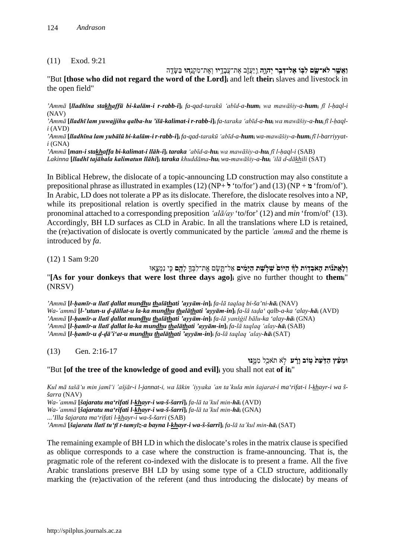#### (11) Exod. 9:21

**וַאֲשֶׁ ֥ ר לֹא־שָׂ ֛ ם לִ בּ֖ וֹ אֶ ל־דְּ בַ ֣ר יְהוָ ֑ה** וַֽ יַּעֲזֹ֛ ב אֶ ת־עֲבָדָ ֥ **יו** וְ אֶ ת־מִ קְ נֵ֖ **הוּ** בַּשָּׂ דֶֽ ה

"But **[those who did not regard the word of the Lord]i** and left **theiri** slaves and livestock in the open field"

'Ammā [Iladhīna stakhaffū bi-kalām-i r-rabb-i]; fa-qad-tarakū 'abīd-a-hum; wa mawāšiy-a-hum; fī l-haql-i (NAV)

'Ammā [Iladhī lam yuwajjihu galba-hu 'ilā-kalimat-i r-rabb-i]; fa-taraka 'abīd-a-hu; wa mawāšiy-a-hu; fī l-haql*i* (AVD)

'Ammā [Iladhīna lam yubālū bi-kalām-i r-rabb-i]; fa-qad-tarakū 'abīd-a-hum; wa-mawāšiy-a-hum; fī l-barriyyat*i* (GNA)

'Ammā [man-i stakhaffa bi-kalimat-i llāh-i]i taraka 'abīd-a-hui wa mawāšiy-a-hui fī l-haql-i (SAB)

Lakinna [lladhī tajāhala kalimatun llāhi]; taraka khuddāma-hu; wa-mawāšiy-a-hu; 'ilā d-dākhili (SAT)

In Biblical Hebrew, the dislocate of a topic-announcing LD construction may also constitute a prepositional phrase as illustrated in examples (12) (NP+ **ל**' to/for') and (13) (NP + **מ**' from/of'). In Arabic, LD does not tolerate a PP as its dislocate. Therefore, the dislocate resolves into a NP, while its prepositional relation is overtly specified in the matrix clause by means of the pronominal attached to a corresponding preposition *'alā/ay* 'to/for' (12) and *min* 'from/of' (13). Accordingly, BH LD surfaces as CLD in Arabic. In all the translations where LD is retained, the (re)activation of dislocate is overtly communicated by the particle *'ammā* and the rheme is introduced by *fa*.

(12) 1 Sam 9:20

**וְלַאֲתֹנֹוֹת הָאֹבְדִוֹת לְדְּ הַיּוֹם שְׁלְשֵׁת הַיַּמִים** אַל־תֲשֶׂם אֱת־לִבְּךֱָ לַ**הֶם** כֵּי נִמְצֵאוּ "**[As for your donkeys that were lost three days ago]i** give no further thought to **themi**" (NRSV)

*'Ammā* **[***l-ḥamīr-u llatī ḍallat mundhu thalāthati 'ayyām-in***]i** *fa-lā taqlaq bi-ša'ni-hā***<sup>i</sup>** (NAV) Wa-'ammā [l-'utun-u d-dāllat-u la-ka mundhu thalāthati 'ayyām-in]; fa-lā tada' qalb-a-ka 'alay-hā; (AVD) *'Ammā* **[***l-ḥamīr-u llatī ḍallat mundhu thalāthati 'ayyām-in***]i** *fa-lā yanšġil bālu-ka 'alay-hā***<sup>i</sup>** (GNA) *'Ammā* **[***l-ḥamīr-u llatī ḍallat la-ka mundhu thalāthati 'ayyām-in***]i** *fa-lā taqlaq 'alay-hā***<sup>i</sup>** (SAB) 'Ammā [l-hamīr-u d-dā'i'at-u mundhu thalāthati 'ayyām-in]; fa-lā taqlaq 'alay-hā; (SAT)

(13) Gen. 2:16-17

**וּמֵעֵ֫ץ הַדַּעַתֹ טִוּב וַרָּע** לֹא תֹאכַל מִמֱנּוּ "But **[of the tree of the knowledge of good and evil]i** you shall not eat **of iti**"

*Kul mā tašā'u min jamī'i 'ašjār-i l-jannat-i, wa lākin 'iyyaka 'an ta'kula min šajarat-i ma'rifat-i l-khayr-i wa ššarra* (NAV)

*Wa-'ammā* **[***šajaratu ma'rifati l-khayr-i wa-š-šarri***]i** *fa-lā ta'kul min-hā***<sup>i</sup>** (AVD)

*Wa-'ammā* **[***šajaratu ma'rifati l-khayr-i wa-š-šarri***]i** *fa-lā ta'kul min-hā***<sup>i</sup>** (GNA)

...*'Illa šajarata ma'rifati l-khayr-i wa-š-šarri* (SAB)

*'Ammā* **[***šajaratu llatī tu'ṭī t-tamyīz-a bayna l-khayr-i wa-š-šarri***]i** *fa-lā ta'kul min-hā***<sup>i</sup>** (SAT)

The remaining example of BH LD in which the dislocate's roles in the matrix clause is specified as oblique corresponds to a case where the construction is frame-announcing. That is, the pragmatic role of the referent co-indexed with the dislocate is to present a frame. All the five Arabic translations preserve BH LD by using some type of a CLD structure, additionally marking the (re)activation of the referent (and thus introducing the dislocate) by means of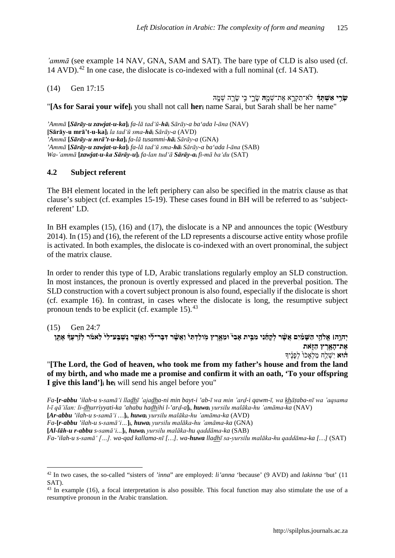*'ammā* (see example 14 NAV, GNA, SAM and SAT). The bare type of CLD is also used (cf. 14 AVD).<sup>[42](#page-14-0)</sup> In one case, the dislocate is co-indexed with a full nominal (cf. 14 SAT).

(14) Gen 17:15

**שָׂרֵי אִשְׁתִּד**ָּ לֹא־תִקְרֵא אֶת־שָׁמָ**ֶה** שָׂרֵי כִּי שַׂרָה שְׁמֵהּ "**[As for Sarai your wife]i** you shall not call **heri** name Sarai, but Sarah shall be her name"

*'Ammā* **[***Sārāy-u zawjat-u-ka***]i** *fa-lā tad'ū-hā***<sup>i</sup>** *Sārāy-a ba'ada l-āna* (NAV) **[Sārāy-u mrā't-u-ka]i** *la tad'ū sma-hā***<sup>i</sup>** *Sārāy-a* (AVD) *'Ammā* **[***Sārāy-u mrā't-u-ka***]i** *fa-lā tusammi-hā***<sup>i</sup>** *Sārāy-a* (GNA) *'Ammā* **[***Sārāy-u zawjat-u-ka***]i** *fa-lā tad'ū sma-hā***<sup>i</sup>** *Sārāy-a ba'ada l-āna* (SAB) *Wa-'ammā* **[***zawjat-u-ka Sārāy-u***]i** *fa-lan tud'ā Sārāy-a***<sup>i</sup>** *fi-mā ba'du* (SAT)

### **4.2 Subject referent**

The BH element located in the left periphery can also be specified in the matrix clause as that clause's subject (cf. examples 15-19). These cases found in BH will be referred to as 'subjectreferent' LD.

In BH examples (15), (16) and (17), the dislocate is a NP and announces the topic (Westbury 2014). In (15) and (16), the referent of the LD represents a discourse active entity whose profile is activated. In both examples, the dislocate is co-indexed with an overt pronominal, the subject of the matrix clause.

In order to render this type of LD, Arabic translations regularly employ an SLD construction. In most instances, the pronoun is overtly expressed and placed in the preverbal position. The SLD construction with a covert subject pronoun is also found, especially if the dislocate is short (cf. example 16). In contrast, in cases where the dislocate is long, the resumptive subject pronoun tends to be explicit (cf. example  $15$ ).<sup>[43](#page-14-1)</sup>

(15) Gen 24:7

<u>.</u>

יְהוָהוּ אֵלְהֵי הַשִּׁמַ֫יִם אֲשֶׁר לִקְחָנִי מִבֵּית אִבִי וּמִאֲרֵץ מִוֹלַדְתִּי וַאֲשֶׁר דָּבֶר־לִי וַאֲשֵׁר נִשְׁבַּע־לִי לַאמֹר לְזַרְעַדְ אֶתֵּן אֶת־הָאָרֶץ הַזְ**ֹּאת הוּא** יִשָׁלַח מַלְאַכֹוֹ לִפְנֵיךָ "**[The Lord, the God of heaven, who took me from my father's house and from the land of my birth, and who made me a promise and confirm it with an oath, 'To your offspring I give this land']i hei** will send his angel before you"

*Fa*-**[***r-abbu 'ilah-u s-samā'i lladhī 'ajadha-ni min bayt-i 'ab-ī wa min 'arḍ-i qawm-ī, wa khāṭaba-nī wa 'aqsama l-ī qā'ilan: li-dhurriyyati-ka 'ahabu hadhihi l-'arḍ-a***]i**, *huwa***<sup>i</sup>** *yursilu malāka-hu 'amāma-ka* (NAV)

**[***Ar-abbu 'ilah-u s-samā'i …***]i**, *huwa***<sup>i</sup>** *yursilu malāka-hu 'amāma-ka* (AVD)

*Fa*-**[***r-abbu 'ilah-u s-samā'i…***]i**, *huwa***<sup>i</sup>** *yursilu malāka-hu 'amāma-ka* (GNA)

**[***Al-lāh-u r-abbu s-samā'i...***]i**, *huwa***<sup>i</sup>** *yursilu malāka-hu qaddāma-ka* (SAB)

*Fa-'ilah-u s-samā' […]. wa-qad kallama-nī […]. wa-huwa lladhī sa-yursilu malāka-hu qaddāma-ka […]* (SAT)

<span id="page-14-0"></span><sup>42</sup> In two cases, the so-called "sisters of *'inna*" are employed: *li'anna* 'because' (9 AVD) and *lakinna* 'but' (11 SAT).

<span id="page-14-1"></span><sup>&</sup>lt;sup>43</sup> In example (16), a focal interpretation is also possible. This focal function may also stimulate the use of a resumptive pronoun in the Arabic translation.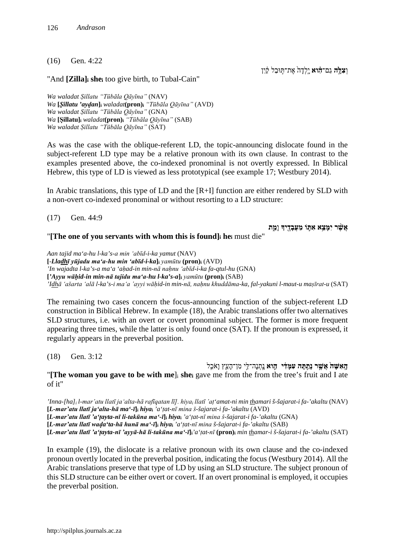#### (16) Gen. 4:22

ו**ִצְלָה גַם־הָוֹא** יִלְדָה אֶת־תִּוּבַל קַיִן

"And **[Zilla]i shei** too give birth, to Tubal-Cain"

*Wa waladat Ṣillatu "Tūbāla Qāyīna"* (NAV) *Wa* **[***Ṣillatu 'ayḍan***]i** *waladat***(pron)i** *"Tūbāla Qāyīna"* (AVD) *Wa waladat Ṣillatu "Tūbāla Qāyīna"* (GNA) *Wa* **[Ṣillatu]i** *waladat***(pron)i** *"Tūbāla Qāyīna"* (SAB) *Wa waladat Ṣillatu "Tūbāla Qāyīna"* (SAT)

As was the case with the oblique-referent LD, the topic-announcing dislocate found in the subject-referent LD type may be a relative pronoun with its own clause. In contrast to the examples presented above, the co-indexed pronominal is not overtly expressed. In Biblical Hebrew, this type of LD is viewed as less prototypical (see example 17; Westbury 2014).

In Arabic translations, this type of LD and the [R+I] function are either rendered by SLD with a non-overt co-indexed pronominal or without resorting to a LD structure:

(17) Gen. 44:9

**אֲשֶׁ֨ ר יִמָּ צֵ֥א אִ תּ֛ וֹ מֵ עֲבָ דֶ ֖ י�** וָ **מֵ֑ ת**

#### "**[The one of you servants with whom this is found]i hei** must die"

*Aan tajid ma'a-hu l-ka's-a min 'abīd-i-ka yamut* (NAV) **[**-*Lladhī yūjadu ma'a-hu min 'abīd-i-ka***]i** *yamūtu* **(pron)i** (AVD) *'In wajadta l-ka's-a ma'a 'aḥad-in min-nā naḥnu 'abīd-i-ka fa-qtul-hu* (GNA) **[***'Ayyu wāḥid-in min-nā tajidu ma'a-hu l-ka's-a***]i** *yamūtu* **(pron)i** (SAB) *'Idhā 'ašarta 'alā l-ka's-i ma'a 'ayyi wāḥid-in min-nā, naḥnu khuddāma-ka, fal-yakuni l-maut-u maṣīrat-u* (SAT)

The remaining two cases concern the focus-announcing function of the subject-referent LD construction in Biblical Hebrew. In example (18), the Arabic translations offer two alternatives SLD structures, i.e. with an overt or covert pronominal subject. The former is more frequent appearing three times, while the latter is only found once (SAT). If the pronoun is expressed, it regularly appears in the preverbal position.

(18) Gen. 3:12

ה**ָאִשׁה אֲשֶׁר נִתַּתָּה עִמִּדִּי הֵוֹא** נַתֲנָה־לֵי מִן־הַעֲץ וָאֹכֵל "**[The woman you gave to be with me**]i **shei** gave me from the from the tree's fruit and I ate of it"

*'Inna-[ha]i l-mar'atu llatī ja'alta-hā rafīqatan lī]. hiya<sup>i</sup> llatī 'aṭ'amat-ni min thamari š-šajarat-i fa-'akaltu* (NAV) **[***L-mar'atu llatī ja'alta-hā ma'-ī***]i** *hiya***<sup>i</sup>** *'a'ṭat-nī mina š-šajarat-i fa-'akaltu* (AVD) **[***L-mar'atu llatī 'a'ṭayta-nī li-takūna ma'-ī***]i** *hiya***<sup>i</sup>** *'a'ṭat-nī mina š-šajarat-i fa-'akaltu* (GNA) **[***L-mar'atu llatī waḍa'ta-hā hunā ma'-ī***]i** *hiya***<sup>i</sup>** *'a'ṭat-nī mina š-šajarat-i fa-'akaltu* (SAB) [L-mar'atu llatī 'a'tayta-nī 'ayyā-hā li-takūna ma'-ī]i'a'tat-nī (pron)i min thamar-i š-šajarat-i fa-'akaltu (SAT)

In example (19), the dislocate is a relative pronoun with its own clause and the co-indexed pronoun overtly located in the preverbal position, indicating the focus (Westbury 2014). All the Arabic translations preserve that type of LD by using an SLD structure. The subject pronoun of this SLD structure can be either overt or covert. If an overt pronominal is employed, it occupies the preverbal position.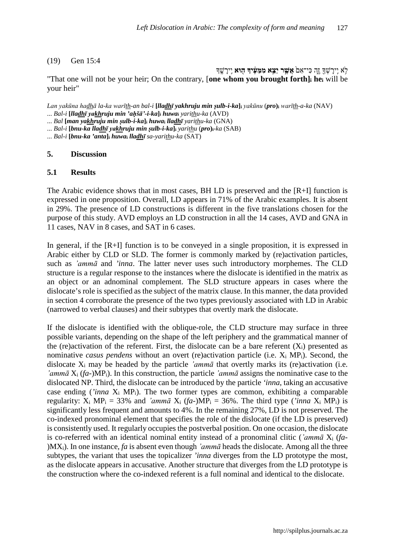#### (19) Gen 15:4

לֹא יִירִשְׁדָּ זֶה כִּי־אָם**ֹ אֲשֶׁר יַצֵּא מִמְּעִידְ הִוּא** יֵירִשֵׁדִּ

"That one will not be your heir; On the contrary, [**one whom you brought forth]i hei** will be your heir"

Lan yakūna hadhā la-ka warīth-an bal-i [lladhī yakhruju min şulb-i-ka]; yakūnu (pro); warīth-a-ka (NAV) ... *Bal-i* **[***lladhī yakhruju min 'aḥšā'-i-ka***]i** *huwa***<sup>i</sup>** *yarithu-ka* (AVD)

... *Bal* **[***man yakhruju min ṣulb-i-ka***]i** *huwa***<sup>i</sup>** *lladhī yarithu-ka* (GNA)

... *Bal-i* **[***bnu-ka lladhī yakhruju min ṣulb-i-ka***]i** *yarithu* (*pro***)i**-*ka* (SAB)

... *Bal-i* **[***bnu-ka 'anta***]i** *huwa***<sup>i</sup>** *lladhī sa-yarithu-ka* (SAT)

#### **5. Discussion**

#### **5.1 Results**

The Arabic evidence shows that in most cases, BH LD is preserved and the [R+I] function is expressed in one proposition. Overall, LD appears in 71% of the Arabic examples. It is absent in 29%. The presence of LD constructions is different in the five translations chosen for the purpose of this study. AVD employs an LD construction in all the 14 cases, AVD and GNA in 11 cases, NAV in 8 cases, and SAT in 6 cases.

In general, if the [R+I] function is to be conveyed in a single proposition, it is expressed in Arabic either by CLD or SLD. The former is commonly marked by (re)activation particles, such as *'ammā* and *'inna*. The latter never uses such introductory morphemes. The CLD structure is a regular response to the instances where the dislocate is identified in the matrix as an object or an adnominal complement. The SLD structure appears in cases where the dislocate's role is specified as the subject of the matrix clause. In this manner, the data provided in section 4 corroborate the presence of the two types previously associated with LD in Arabic (narrowed to verbal clauses) and their subtypes that overtly mark the dislocate.

If the dislocate is identified with the oblique-role, the CLD structure may surface in three possible variants, depending on the shape of the left periphery and the grammatical manner of the (re)activation of the referent. First, the dislocate can be a bare referent  $(X_i)$  presented as nominative *casus pendens* without an overt (re)activation particle (i.e. Xi MPi). Second, the dislocate Xi may be headed by the particle *'ammā* that overtly marks its (re)activation (i.e. *'ammā* Xi (*fa*-)MPi). In this construction, the particle *'ammā* assigns the nominative case to the dislocated NP. Third, the dislocate can be introduced by the particle *'inna*, taking an accusative case ending (*'inna* Xi MPi). The two former types are common, exhibiting a comparable regularity:  $X_i$  MP<sub>i</sub> = 33% and *'ammā*  $X_i$  (*fa*-)MP<sub>i</sub> = 36%. The third type (*'inna*  $X_i$  MP<sub>i</sub>) is significantly less frequent and amounts to 4%. In the remaining 27%, LD is not preserved. The co-indexed pronominal element that specifies the role of the dislocate (if the LD is preserved) is consistently used. It regularly occupies the postverbal position. On one occasion, the dislocate is co-referred with an identical nominal entity instead of a pronominal clitic (*'ammā* Xi (*fa*- )MXi). In one instance, *fa* is absent even though *'ammā* heads the dislocate. Among all the three subtypes, the variant that uses the topicalizer *'inna* diverges from the LD prototype the most, as the dislocate appears in accusative. Another structure that diverges from the LD prototype is the construction where the co-indexed referent is a full nominal and identical to the dislocate.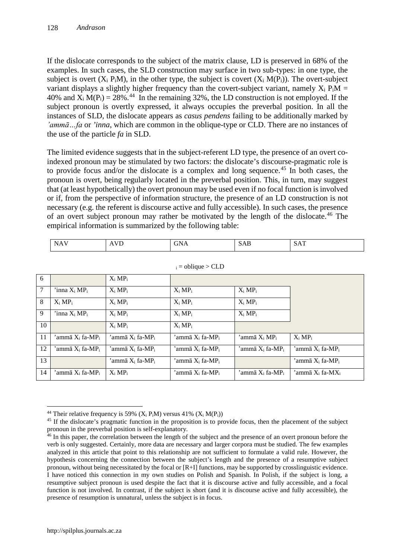If the dislocate corresponds to the subject of the matrix clause, LD is preserved in 68% of the examples. In such cases, the SLD construction may surface in two sub-types: in one type, the subject is overt  $(X_i P_i M)$ , in the other type, the subject is covert  $(X_i M(P_i))$ . The overt-subject variant displays a slightly higher frequency than the covert-subject variant, namely  $X_i P_i M =$ 40% and  $X_i M(P_i) = 28\%$ .<sup>[44](#page-17-0)</sup> In the remaining 32%, the LD construction is not employed. If the subject pronoun is overtly expressed, it always occupies the preverbal position. In all the instances of SLD, the dislocate appears as *casus pendens* failing to be additionally marked by *'ammā…fa* or *'inna*, which are common in the oblique-type or CLD. There are no instances of the use of the particle *fa* in SLD.

The limited evidence suggests that in the subject-referent LD type, the presence of an overt coindexed pronoun may be stimulated by two factors: the dislocate's discourse-pragmatic role is to provide focus and/or the dislocate is a complex and long sequence. [45](#page-17-1) In both cases, the pronoun is overt, being regularly located in the preverbal position. This, in turn, may suggest that (at least hypothetically) the overt pronoun may be used even if no focal function is involved or if, from the perspective of information structure, the presence of an LD construction is not necessary (e.g. the referent is discourse active and fully accessible). In such cases, the presence of an overt subject pronoun may rather be motivated by the length of the dislocate. [46](#page-17-2) The empirical information is summarized by the following table:

| $\mathbf{v}$<br>$\overline{\phantom{a}}$<br>. .<br><i>םרו</i> ט<br>$ -$<br>the contract of the contract of the contract of |  |  | $-$<br>÷N. |  | - |
|----------------------------------------------------------------------------------------------------------------------------|--|--|------------|--|---|
|----------------------------------------------------------------------------------------------------------------------------|--|--|------------|--|---|

| 6              |                                 | $X_i MP_i$                              |                                         |                                |                                         |
|----------------|---------------------------------|-----------------------------------------|-----------------------------------------|--------------------------------|-----------------------------------------|
| $\overline{7}$ | $\lim_{i \to \infty} X_i M P_i$ | $X_i MP_i$                              | $X_i MP_i$                              | $X_i MP_i$                     |                                         |
| 8              | $X_i MP_i$                      | $X_i MP_i$                              | $X_i MP_i$                              | $X_i MP_i$                     |                                         |
| 9              | 'inna $X_i MP_i$                | $X_i MP_i$                              | $X_i MP_i$                              | $X_i MP_i$                     |                                         |
| 10             |                                 | $X_i MP_i$                              | $X_i MP_i$                              |                                |                                         |
| 11             | 'ammā $X_i$ fa-MP <sub>i</sub>  | 'ammā X <sub>i</sub> fa-MP <sub>i</sub> | 'ammā X <sub>i</sub> fa-MP <sub>i</sub> | 'ammā X; MP;                   | $X_i MP_i$                              |
| 12             | 'ammā $X_i$ fa-MP <sub>i</sub>  | 'ammā $X_i$ fa-MP;                      | 'ammā $X_i$ fa-MP <sub>i</sub>          | 'ammā $X_i$ fa-MP <sub>i</sub> | 'ammā $X_i$ fa-MP <sub>i</sub>          |
| 13             |                                 | 'ammā X <sub>i</sub> fa-MP <sub>i</sub> | 'ammā X <sub>i</sub> fa-MP <sub>i</sub> |                                | 'ammā X <sub>i</sub> fa-MP <sub>i</sub> |
| 14             | 'ammā $X_i$ fa-MP <sub>i</sub>  | $X_i MP_i$                              | 'ammā X¦ fa-MP¦                         | 'ammā $X_i$ fa-MP <sub>i</sub> | 'ammā $X_i$ fa-M $X_i$                  |

| $i = oblique > CLD$ |  |
|---------------------|--|
|---------------------|--|

 $\overline{a}$ <sup>44</sup> Their relative frequency is 59% ( $X_i$  P<sub>i</sub>M) versus 41% ( $X_i$  M(P<sub>i</sub>))

<span id="page-17-1"></span><span id="page-17-0"></span><sup>&</sup>lt;sup>45</sup> If the dislocate's pragmatic function in the proposition is to provide focus, then the placement of the subject pronoun in the preverbal position is self-explanatory.

<span id="page-17-2"></span><sup>46</sup> In this paper, the correlation between the length of the subject and the presence of an overt pronoun before the verb is only suggested. Certainly, more data are necessary and larger corpora must be studied. The few examples analyzed in this article that point to this relationship are not sufficient to formulate a valid rule. However, the hypothesis concerning the connection between the subject's length and the presence of a resumptive subject pronoun, without being necessitated by the focal or [R+I] functions, may be supported by crosslinguistic evidence. I have noticed this connection in my own studies on Polish and Spanish. In Polish, if the subject is long, a resumptive subject pronoun is used despite the fact that it is discourse active and fully accessible, and a focal function is not involved. In contrast, if the subject is short (and it is discourse active and fully accessible), the presence of resumption is unnatural, unless the subject is in focus.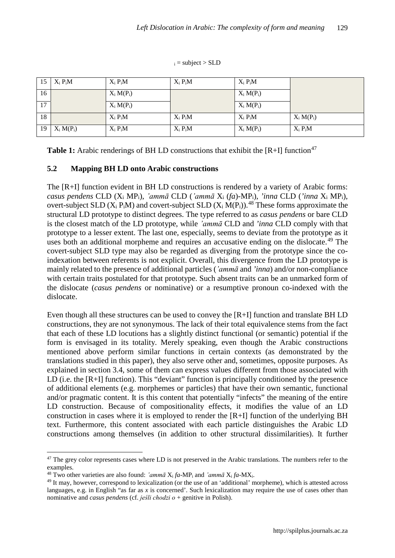$i =$  subject > SLD

| 15              | $X_i P_i M$  | $X_i P_i M$  | $X_i P_i M$ | $X_i P_i M$  |              |
|-----------------|--------------|--------------|-------------|--------------|--------------|
| 16              |              | $X_i M(P_i)$ |             | $X_i M(P_i)$ |              |
| $\overline{17}$ |              | $X_i M(P_i)$ |             | $X_i M(P_i)$ |              |
| 18              |              | $X_i P_i M$  | $X_i P_i M$ | $X_i P_i M$  | $X_i M(P_i)$ |
| 19              | $X_i M(P_i)$ | $X_i P_i M$  | $X_i P_i M$ | $X_i M(P_i)$ | $X_i P_i M$  |

**Table 1:** Arabic renderings of BH LD constructions that exhibit the  $[R+I]$  function<sup>[47](#page-18-0)</sup>

### **5.2 Mapping BH LD onto Arabic constructions**

The [R+I] function evident in BH LD constructions is rendered by a variety of Arabic forms: *casus pendens* CLD (Xi MPi), *'ammā* CLD (*'ammā* Xi (*fa*)-MPi), *'inna* CLD (*'inna* Xi MPi), overt-subject SLD  $(X_i P_i M)$  and covert-subject SLD  $(X_i M(P_i))$ .<sup>[48](#page-18-1)</sup> These forms approximate the structural LD prototype to distinct degrees. The type referred to as *casus pendens* or bare CLD is the closest match of the LD prototype, while *'ammā* CLD and *'inna* CLD comply with that prototype to a lesser extent. The last one, especially, seems to deviate from the prototype as it uses both an additional morpheme and requires an accusative ending on the dislocate.<sup>[49](#page-18-2)</sup> The covert-subject SLD type may also be regarded as diverging from the prototype since the coindexation between referents is not explicit. Overall, this divergence from the LD prototype is mainly related to the presence of additional particles (*'ammā* and *'inna*) and/or non-compliance with certain traits postulated for that prototype. Such absent traits can be an unmarked form of the dislocate (*casus pendens* or nominative) or a resumptive pronoun co-indexed with the dislocate.

Even though all these structures can be used to convey the [R+I] function and translate BH LD constructions, they are not synonymous. The lack of their total equivalence stems from the fact that each of these LD locutions has a slightly distinct functional (or semantic) potential if the form is envisaged in its totality. Merely speaking, even though the Arabic constructions mentioned above perform similar functions in certain contexts (as demonstrated by the translations studied in this paper), they also serve other and, sometimes, opposite purposes. As explained in section 3.4, some of them can express values different from those associated with LD (i.e. the [R+I] function). This "deviant" function is principally conditioned by the presence of additional elements (e.g. morphemes or particles) that have their own semantic, functional and/or pragmatic content. It is this content that potentially "infects" the meaning of the entire LD construction. Because of compositionality effects, it modifies the value of an LD construction in cases where it is employed to render the [R+I] function of the underlying BH text. Furthermore, this content associated with each particle distinguishes the Arabic LD constructions among themselves (in addition to other structural dissimilarities). It further

<span id="page-18-0"></span>**<sup>.</sup>** <sup>47</sup> The grey color represents cases where LD is not preserved in the Arabic translations. The numbers refer to the examples.

<span id="page-18-1"></span><sup>&</sup>lt;sup>48</sup> Two other varieties are also found: *'ammā*  $X_i$  *fa*-MP<sub>i</sub> and *'ammā*  $X_i$  *fa*-M $X_i$ .

<span id="page-18-2"></span><sup>&</sup>lt;sup>49</sup> It may, however, correspond to lexicalization (or the use of an 'additional' morpheme), which is attested across languages, e.g. in English "as far as *x* is concerned'. Such lexicalization may require the use of cases other than nominative and *casus pendens* (cf. *jeśli chodzi o* + genitive in Polish).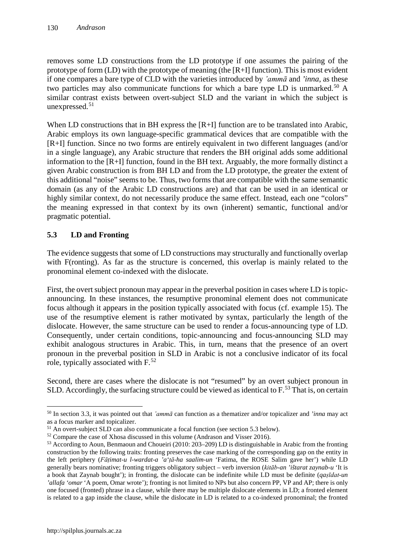removes some LD constructions from the LD prototype if one assumes the pairing of the prototype of form (LD) with the prototype of meaning (the [R+I] function). This is most evident if one compares a bare type of CLD with the varieties introduced by *'ammā* and *'inna*, as these two particles may also communicate functions for which a bare type LD is unmarked.<sup>[50](#page-19-0)</sup> A similar contrast exists between overt-subject SLD and the variant in which the subject is unexpressed.[51](#page-19-1)

When LD constructions that in BH express the [R+I] function are to be translated into Arabic, Arabic employs its own language-specific grammatical devices that are compatible with the [R+I] function. Since no two forms are entirely equivalent in two different languages (and/or in a single language), any Arabic structure that renders the BH original adds some additional information to the [R+I] function, found in the BH text. Arguably, the more formally distinct a given Arabic construction is from BH LD and from the LD prototype, the greater the extent of this additional "noise" seems to be. Thus, two forms that are compatible with the same semantic domain (as any of the Arabic LD constructions are) and that can be used in an identical or highly similar context, do not necessarily produce the same effect. Instead, each one "colors" the meaning expressed in that context by its own (inherent) semantic, functional and/or pragmatic potential.

# **5.3 LD and Fronting**

The evidence suggests that some of LD constructions may structurally and functionally overlap with F(ronting). As far as the structure is concerned, this overlap is mainly related to the pronominal element co-indexed with the dislocate.

First, the overt subject pronoun may appear in the preverbal position in cases where LD is topicannouncing. In these instances, the resumptive pronominal element does not communicate focus although it appears in the position typically associated with focus (cf. example 15). The use of the resumptive element is rather motivated by syntax, particularly the length of the dislocate. However, the same structure can be used to render a focus-announcing type of LD. Consequently, under certain conditions, topic-announcing and focus-announcing SLD may exhibit analogous structures in Arabic. This, in turn, means that the presence of an overt pronoun in the preverbal position in SLD in Arabic is not a conclusive indicator of its focal role, typically associated with F.<sup>[52](#page-19-2)</sup>

Second, there are cases where the dislocate is not "resumed" by an overt subject pronoun in SLD. Accordingly, the surfacing structure could be viewed as identical to  $F<sup>53</sup>$  $F<sup>53</sup>$  $F<sup>53</sup>$ . That is, on certain

 $\overline{a}$ 

<span id="page-19-0"></span><sup>50</sup> In section 3.3, it was pointed out that *'ammā* can function as a thematizer and/or topicalizer and *'inna* may act as a focus marker and topicalizer.

<span id="page-19-1"></span><sup>&</sup>lt;sup>51</sup> An overt-subject SLD can also communicate a focal function (see section 5.3 below).

<span id="page-19-3"></span><span id="page-19-2"></span><sup>&</sup>lt;sup>52</sup> Compare the case of Xhosa discussed in this volume (Andrason and Visser 2016).<br><sup>53</sup> According to Aoun, Benmaoun and Choueiri (2010: 203–209) LD is distinguishable in Arabic from the fronting construction by the following traits: fronting preserves the case marking of the corresponding gap on the entity in the left periphery (*Fāṭimat-u l-wardat-a 'a'ṭā-ha saalim-un* 'Fatima, the ROSE Salim gave her') while LD generally bears nominative; fronting triggers obligatory subject – verb inversion (*kitāb-an 'ištarat zaynab-u* 'It is a book that Zaynab bought'); in fronting, the dislocate can be indefinite while LD must be definite (*qaṣīdat-un 'allafa 'omar* 'A poem, Omar wrote'); fronting is not limited to NPs but also concern PP, VP and AP; there is only one focused (fronted) phrase in a clause, while there may be multiple dislocate elements in LD; a fronted element is related to a gap inside the clause, while the dislocate in LD is related to a co-indexed pronominal; the fronted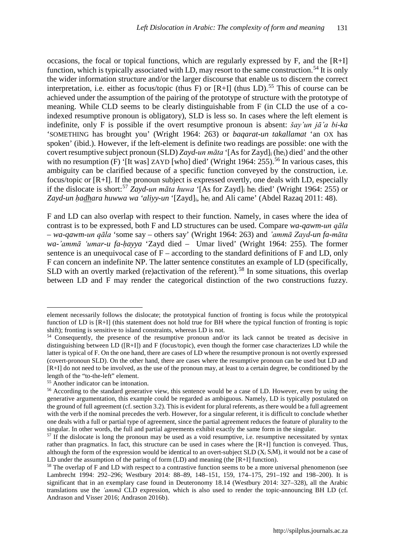occasions, the focal or topical functions, which are regularly expressed by  $F$ , and the  $[R+I]$ function, which is typically associated with LD, may resort to the same construction.<sup>[54](#page-20-0)</sup> It is only the wider information structure and/or the larger discourse that enable us to discern the correct interpretation, i.e. either as focus/topic (thus F) or [R+I] (thus LD).<sup>[55](#page-20-1)</sup> This of course can be achieved under the assumption of the pairing of the prototype of structure with the prototype of meaning. While CLD seems to be clearly distinguishable from F (in CLD the use of a coindexed resumptive pronoun is obligatory), SLD is less so. In cases where the left element is indefinite, only F is possible if the overt resumptive pronoun is absent: *šay'un jā'a bi-ka* 'SOMETHING has brought you' (Wright 1964: 263) or *baqarat-un takallamat* 'an OX has spoken' (ibid.). However, if the left-element is definite two readings are possible: one with the covert resumptive subject pronoun (SLD) *Zayd-un māta* '[As for Zayd]i (hei) died' and the other with no resumption (F) '[It was] ZAYD [who] died' (Wright 1964:  $255$ ).<sup>[56](#page-20-2)</sup> In various cases, this ambiguity can be clarified because of a specific function conveyed by the construction, i.e. focus/topic or [R+I]. If the pronoun subject is expressed overtly, one deals with LD, especially if the dislocate is short: [57](#page-20-3) *Zayd-un māta huwa* '[As for Zayd]i hei died' (Wright 1964: 255) or *Zayd-un ḥadhara huwwa wa 'aliyy-un* '[Zayd]i, hei and Ali came' (Abdel Razaq 2011: 48).

F and LD can also overlap with respect to their function. Namely, in cases where the idea of contrast is to be expressed, both F and LD structures can be used. Compare *wa-qawm-un qāla – wa-qawm-un qāla* 'some say – others say' (Wright 1964: 263) and *'ammā Zayd-un fa-māta wa-'ammā 'umar-u fa-ḥayya* 'Zayd died – Umar lived' (Wright 1964: 255). The former sentence is an unequivocal case of  $F -$  according to the standard definitions of  $F$  and  $LD$ , only F can concern an indefinite NP. The latter sentence constitutes an example of LD (specifically, SLD with an overtly marked (re)activation of the referent).<sup>[58](#page-20-4)</sup> In some situations, this overlap between LD and F may render the categorical distinction of the two constructions fuzzy.

<u>.</u>

element necessarily follows the dislocate; the prototypical function of fronting is focus while the prototypical function of LD is [R+I] (this statement does not hold true for BH where the typical function of fronting is topic shift); fronting is sensitive to island constraints, whereas LD is not.

<span id="page-20-0"></span><sup>54</sup> Consequently, the presence of the resumptive pronoun and/or its lack cannot be treated as decisive in distinguishing between LD ([R+I]) and F (focus/topic), even though the former case characterizes LD while the latter is typical of F. On the one hand, there are cases of LD where the resumptive pronoun is not overtly expressed (covert-pronoun SLD). On the other hand, there are cases where the resumptive pronoun can be used but LD and [R+I] do not need to be involved, as the use of the pronoun may, at least to a certain degree, be conditioned by the length of the "to-the-left" element.

<span id="page-20-2"></span><span id="page-20-1"></span><sup>&</sup>lt;sup>55</sup> Another indicator can be intonation.<br><sup>56</sup> According to the standard generative view, this sentence would be a case of LD. However, even by using the generative argumentation, this example could be regarded as ambiguous. Namely, LD is typically postulated on the ground of full agreement (cf. section 3.2). This is evident for plural referents, as there would be a full agreement with the verb if the nominal precedes the verb. However, for a singular referent, it is difficult to conclude whether one deals with a full or partial type of agreement, since the partial agreement reduces the feature of plurality to the singular. In other words, the full and partial agreements exhibit exactly the same form in the singular.

<span id="page-20-3"></span><sup>&</sup>lt;sup>57</sup> If the dislocate is long the pronoun may be used as a void resumptive, i.e. resumptive necessitated by syntax rather than pragmatics. In fact, this structure can be used in cases where the [R+I] function is conveyed. Thus, although the form of the expression would be identical to an overt-subject SLD  $(X_i, S_i, M)$ , it would not be a case of LD under the assumption of the paring of form (LD) and meaning (the [R+I] function).

<span id="page-20-4"></span><sup>&</sup>lt;sup>58</sup> The overlap of F and LD with respect to a contrastive function seems to be a more universal phenomenon (see Lambrecht 1994: 292–296; Westbury 2014: 88–89, 148–151, 159, 174–175, 291–192 and 198–200). It is significant that in an exemplary case found in Deuteronomy 18.14 (Westbury 2014: 327–328), all the Arabic translations use the *'ammā* CLD expression, which is also used to render the topic-announcing BH LD (cf. Andrason and Visser 2016; Andrason 2016b).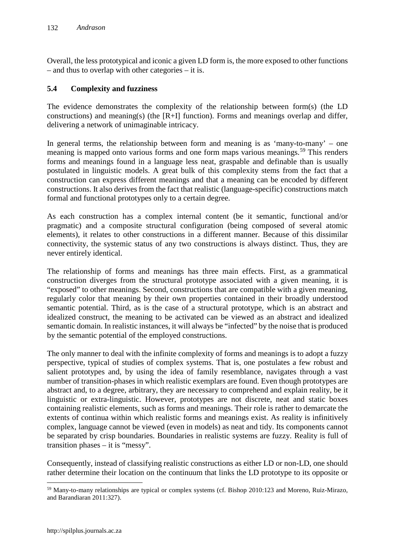Overall, the less prototypical and iconic a given LD form is, the more exposed to other functions – and thus to overlap with other categories – it is.

### **5.4 Complexity and fuzziness**

The evidence demonstrates the complexity of the relationship between form(s) (the LD constructions) and meaning(s) (the [R+I] function). Forms and meanings overlap and differ, delivering a network of unimaginable intricacy.

In general terms, the relationship between form and meaning is as 'many-to-many' – one meaning is mapped onto various forms and one form maps various meanings.<sup>[59](#page-21-0)</sup> This renders forms and meanings found in a language less neat, graspable and definable than is usually postulated in linguistic models. A great bulk of this complexity stems from the fact that a construction can express different meanings and that a meaning can be encoded by different constructions. It also derives from the fact that realistic (language-specific) constructions match formal and functional prototypes only to a certain degree.

As each construction has a complex internal content (be it semantic, functional and/or pragmatic) and a composite structural configuration (being composed of several atomic elements), it relates to other constructions in a different manner. Because of this dissimilar connectivity, the systemic status of any two constructions is always distinct. Thus, they are never entirely identical.

The relationship of forms and meanings has three main effects. First, as a grammatical construction diverges from the structural prototype associated with a given meaning, it is "exposed" to other meanings. Second, constructions that are compatible with a given meaning, regularly color that meaning by their own properties contained in their broadly understood semantic potential. Third, as is the case of a structural prototype, which is an abstract and idealized construct, the meaning to be activated can be viewed as an abstract and idealized semantic domain. In realistic instances, it will always be "infected" by the noise that is produced by the semantic potential of the employed constructions.

The only manner to deal with the infinite complexity of forms and meanings is to adopt a fuzzy perspective, typical of studies of complex systems. That is, one postulates a few robust and salient prototypes and, by using the idea of family resemblance, navigates through a vast number of transition-phases in which realistic exemplars are found. Even though prototypes are abstract and, to a degree, arbitrary, they are necessary to comprehend and explain reality, be it linguistic or extra-linguistic. However, prototypes are not discrete, neat and static boxes containing realistic elements, such as forms and meanings. Their role is rather to demarcate the extents of continua within which realistic forms and meanings exist. As reality is infinitively complex, language cannot be viewed (even in models) as neat and tidy. Its components cannot be separated by crisp boundaries. Boundaries in realistic systems are fuzzy. Reality is full of transition phases – it is "messy".

Consequently, instead of classifying realistic constructions as either LD or non-LD, one should rather determine their location on the continuum that links the LD prototype to its opposite or

 $\overline{a}$ 

<span id="page-21-0"></span><sup>59</sup> Many-to-many relationships are typical or complex systems (cf. Bishop 2010:123 and Moreno, Ruiz-Mirazo, and Barandiaran 2011:327).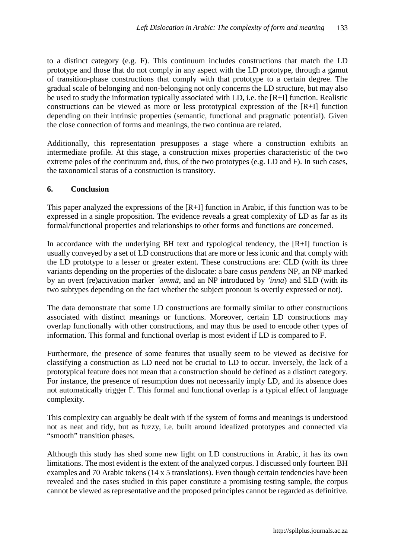to a distinct category (e.g. F). This continuum includes constructions that match the LD prototype and those that do not comply in any aspect with the LD prototype, through a gamut of transition-phase constructions that comply with that prototype to a certain degree. The gradual scale of belonging and non-belonging not only concerns the LD structure, but may also be used to study the information typically associated with LD, i.e. the [R+I] function. Realistic constructions can be viewed as more or less prototypical expression of the [R+I] function depending on their intrinsic properties (semantic, functional and pragmatic potential). Given the close connection of forms and meanings, the two continua are related.

Additionally, this representation presupposes a stage where a construction exhibits an intermediate profile. At this stage, a construction mixes properties characteristic of the two extreme poles of the continuum and, thus, of the two prototypes (e.g. LD and F). In such cases, the taxonomical status of a construction is transitory.

### **6. Conclusion**

This paper analyzed the expressions of the  $[R+I]$  function in Arabic, if this function was to be expressed in a single proposition. The evidence reveals a great complexity of LD as far as its formal/functional properties and relationships to other forms and functions are concerned.

In accordance with the underlying BH text and typological tendency, the  $[R+I]$  function is usually conveyed by a set of LD constructions that are more or less iconic and that comply with the LD prototype to a lesser or greater extent. These constructions are: CLD (with its three variants depending on the properties of the dislocate: a bare *casus pendens* NP, an NP marked by an overt (re)activation marker *'ammā*, and an NP introduced by *'inna*) and SLD (with its two subtypes depending on the fact whether the subject pronoun is overtly expressed or not).

The data demonstrate that some LD constructions are formally similar to other constructions associated with distinct meanings or functions. Moreover, certain LD constructions may overlap functionally with other constructions, and may thus be used to encode other types of information. This formal and functional overlap is most evident if LD is compared to F.

Furthermore, the presence of some features that usually seem to be viewed as decisive for classifying a construction as LD need not be crucial to LD to occur. Inversely, the lack of a prototypical feature does not mean that a construction should be defined as a distinct category. For instance, the presence of resumption does not necessarily imply LD, and its absence does not automatically trigger F. This formal and functional overlap is a typical effect of language complexity.

This complexity can arguably be dealt with if the system of forms and meanings is understood not as neat and tidy, but as fuzzy, i.e. built around idealized prototypes and connected via "smooth" transition phases.

Although this study has shed some new light on LD constructions in Arabic, it has its own limitations. The most evident is the extent of the analyzed corpus. I discussed only fourteen BH examples and 70 Arabic tokens (14 x 5 translations). Even though certain tendencies have been revealed and the cases studied in this paper constitute a promising testing sample, the corpus cannot be viewed as representative and the proposed principles cannot be regarded as definitive.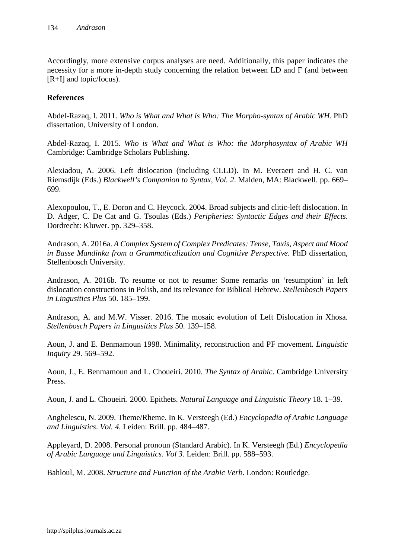Accordingly, more extensive corpus analyses are need. Additionally, this paper indicates the necessity for a more in-depth study concerning the relation between LD and F (and between [R+I] and topic/focus).

### **References**

Abdel-Razaq, I. 2011. *Who is What and What is Who: The Morpho-syntax of Arabic WH*. PhD dissertation, University of London.

Abdel-Razaq, I. 2015. *Who is What and What is Who: the Morphosyntax of Arabic WH* Cambridge: Cambridge Scholars Publishing.

Alexiadou, A. 2006. Left dislocation (including CLLD). In M. Everaert and H. C. van Riemsdijk (Eds.) *Blackwell's Companion to Syntax, Vol. 2*. Malden, MA: Blackwell. pp. 669– 699.

Alexopoulou, T., E. Doron and C. Heycock. 2004. Broad subjects and clitic-left dislocation. In D. Adger, C. De Cat and G. Tsoulas (Eds.) *Peripheries: Syntactic Edges and their Effects*. Dordrecht: Kluwer. pp. 329–358.

Andrason, A. 2016a. *A Complex System of Complex Predicates: Tense, Taxis, Aspect and Mood in Basse Mandinka from a Grammaticalization and Cognitive Perspective.* PhD dissertation, Stellenbosch University.

Andrason, A. 2016b. To resume or not to resume: Some remarks on 'resumption' in left dislocation constructions in Polish, and its relevance for Biblical Hebrew. *Stellenbosch Papers in Lingusitics Plus* 50. 185–199.

Andrason, A. and M.W. Visser. 2016. The mosaic evolution of Left Dislocation in Xhosa. *Stellenbosch Papers in Lingusitics Plus* 50. 139–158.

Aoun, J. and E. Benmamoun 1998. Minimality, reconstruction and PF movement. *Linguistic Inquiry* 29. 569–592.

Aoun, J., E. Benmamoun and L. Choueiri. 2010. *The Syntax of Arabic*. Cambridge University Press.

Aoun, J. and L. Choueiri. 2000. Epithets. *Natural Language and Linguistic Theory* 18. 1–39.

Anghelescu, N. 2009. Theme/Rheme. In K. Versteegh (Ed.) *Encyclopedia of Arabic Language and Linguistics*. *Vol. 4.* Leiden: Brill. pp. 484–487.

Appleyard, D. 2008. Personal pronoun (Standard Arabic). In K. Versteegh (Ed.) *Encyclopedia of Arabic Language and Linguistics. Vol 3*. Leiden: Brill. pp. 588–593.

Bahloul, M. 2008. *Structure and Function of the Arabic Verb*. London: Routledge.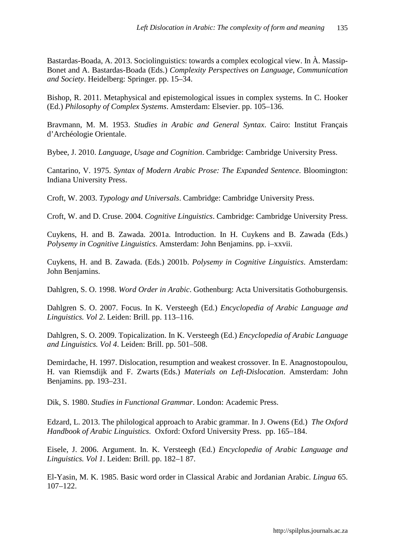Bastardas-Boada, A. 2013. Sociolinguistics: towards a complex ecological view. In À. Massip-Bonet and A. Bastardas-Boada (Eds.) *Complexity Perspectives on Language, Communication and Society*. Heidelberg: Springer. pp. 15–34.

Bishop, R. 2011. Metaphysical and epistemological issues in complex systems. In C. Hooker (Ed.) *Philosophy of Complex Systems*. Amsterdam: Elsevier. pp. 105–136.

Bravmann, M. M. 1953. *Studies in Arabic and General Syntax*. Cairo: Institut Français d'Archéologie Orientale.

Bybee, J. 2010. *Language, Usage and Cognition*. Cambridge: Cambridge University Press.

Cantarino, V. 1975. *Syntax of Modern Arabic Prose: The Expanded Sentence*. Bloomington: Indiana University Press.

Croft, W. 2003. *Typology and Universals*. Cambridge: Cambridge University Press.

Croft, W. and D. Cruse. 2004. *Cognitive Linguistics*. Cambridge: Cambridge University Press.

Cuykens, H. and B. Zawada. 2001a. Introduction. In H. Cuykens and B. Zawada (Eds.) *Polysemy in Cognitive Linguistics*. Amsterdam: John Benjamins. pp. i–xxvii.

Cuykens, H. and B. Zawada. (Eds.) 2001b. *Polysemy in Cognitive Linguistics*. Amsterdam: John Benjamins.

Dahlgren, S. O. 1998. *Word Order in Arabic*. Gothenburg: Acta Universitatis Gothoburgensis.

Dahlgren S. O. 2007. Focus. In K. Versteegh (Ed.) *Encyclopedia of Arabic Language and Linguistics. Vol 2*. Leiden: Brill. pp. 113–116.

Dahlgren, S. O. 2009. Topicalization. In K. Versteegh (Ed.) *Encyclopedia of Arabic Language and Linguistics. Vol 4*. Leiden: Brill. pp. 501–508.

Demirdache, H. 1997. Dislocation, resumption and weakest crossover. In E. Anagnostopoulou, H. van Riemsdijk and F. Zwarts (Eds.) *Materials on Left-Dislocation*. Amsterdam: John Benjamins. pp. 193–231.

Dik, S. 1980. *Studies in Functional Grammar*. London: Academic Press.

Edzard, L. 2013. The philological approach to Arabic grammar. In J. Owens (Ed.) *The Oxford Handbook of Arabic Linguistics*. Oxford: Oxford University Press. pp. 165–184.

Eisele, J. 2006. Argument. In. K. Versteegh (Ed.) *Encyclopedia of Arabic Language and Linguistics. Vol 1*. Leiden: Brill. pp. 182–1 87.

El-Yasin, M. K. 1985. Basic word order in Classical Arabic and Jordanian Arabic. *Lingua* 65. 107–122.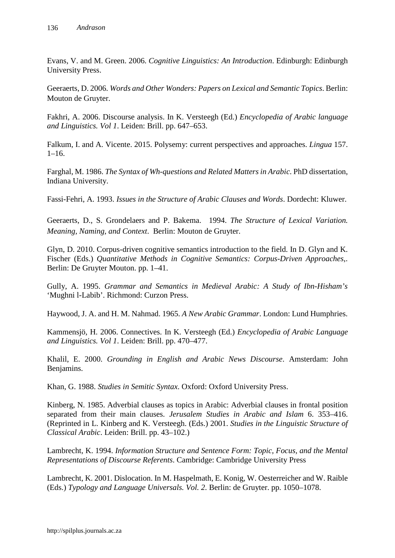Evans, V. and M. Green. 2006. *Cognitive Linguistics: An Introduction*. Edinburgh: Edinburgh University Press.

Geeraerts, D. 2006. *Words and Other Wonders: Papers on Lexical and Semantic Topics*. Berlin: Mouton de Gruyter.

Fakhri, A. 2006. Discourse analysis. In K. Versteegh (Ed.) *Encyclopedia of Arabic language and Linguistics. Vol 1*. Leiden: Brill. pp. 647–653.

Falkum, I. and A. Vicente. 2015. Polysemy: current perspectives and approaches. *Lingua* 157.  $1-16.$ 

Farghal, M. 1986. *The Syntax of Wh-questions and Related Matters in Arabic*. PhD dissertation, Indiana University.

Fassi-Fehri, A. 1993. *Issues in the Structure of Arabic Clauses and Words*. Dordecht: Kluwer.

Geeraerts, D., S. Grondelaers and P. Bakema. 1994. *The Structure of Lexical Variation. Meaning, Naming, and Context*. Berlin: Mouton de Gruyter.

Glyn, D. 2010. Corpus-driven cognitive semantics introduction to the field. In D. Glyn and K. Fischer (Eds.) *Quantitative Methods in Cognitive Semantics: Corpus-Driven Approaches*,. Berlin: De Gruyter Mouton. pp. 1–41.

Gully, A. 1995. *Grammar and Semantics in Medieval Arabic: A Study of Ibn-Hisham's*  'Mughni l-Labib'. Richmond: Curzon Press.

Haywood, J. A. and H. M. Nahmad. 1965. *A New Arabic Grammar*. London: Lund Humphries.

Kammensjö, H. 2006. Connectives. In K. Versteegh (Ed.) *Encyclopedia of Arabic Language and Linguistics. Vol 1*. Leiden: Brill. pp. 470–477.

Khalil, E. 2000. *Grounding in English and Arabic News Discourse*. Amsterdam: John Benjamins.

Khan, G. 1988. *Studies in Semitic Syntax*. Oxford: Oxford University Press.

Kinberg, N. 1985. Adverbial clauses as topics in Arabic: Adverbial clauses in frontal position separated from their main clauses. *Jerusalem Studies in Arabic and Islam* 6. 353–416. (Reprinted in L. Kinberg and K. Versteegh. (Eds.) 2001. *Studies in the Linguistic Structure of Classical Arabic*. Leiden: Brill. pp. 43–102.)

Lambrecht, K. 1994. *Information Structure and Sentence Form: Topic, Focus, and the Mental Representations of Discourse Referents*. Cambridge: Cambridge University Press

Lambrecht, K. 2001. Dislocation. In M. Haspelmath, E. Konig, W. Oesterreicher and W. Raible (Eds.) *Typology and Language Universals. Vol. 2*. Berlin: de Gruyter. pp. 1050–1078.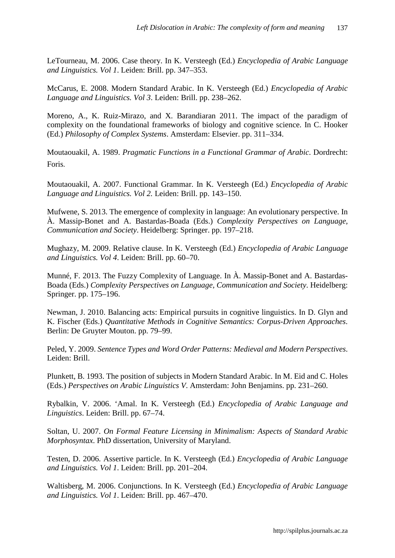LeTourneau, M. 2006. Case theory. In K. Versteegh (Ed.) *Encyclopedia of Arabic Language and Linguistics. Vol 1*. Leiden: Brill. pp. 347–353.

McCarus, E. 2008. Modern Standard Arabic. In K. Versteegh (Ed.) *Encyclopedia of Arabic Language and Linguistics. Vol 3*. Leiden: Brill. pp. 238–262.

Moreno, A., K. Ruiz-Mirazo, and X. Barandiaran 2011. The impact of the paradigm of complexity on the foundational frameworks of biology and cognitive science. In C. Hooker (Ed.) *Philosophy of Complex Systems*. Amsterdam: Elsevier. pp. 311–334.

Moutaouakil, A. 1989. *Pragmatic Functions in a Functional Grammar of Arabic*. Dordrecht: Foris.

Moutaouakil, A. 2007. Functional Grammar. In K. Versteegh (Ed.) *Encyclopedia of Arabic Language and Linguistics. Vol 2.* Leiden: Brill. pp. 143–150.

Mufwene, S. 2013. The emergence of complexity in language: An evolutionary perspective. In À. Massip-Bonet and A. Bastardas-Boada (Eds.) *Complexity Perspectives on Language, Communication and Society*. Heidelberg: Springer. pp. 197–218.

Mughazy, M. 2009. Relative clause. In K. Versteegh (Ed.) *Encyclopedia of Arabic Language and Linguistics. Vol 4*. Leiden: Brill. pp. 60–70.

Munné, F. 2013. The Fuzzy Complexity of Language. In À. Massip-Bonet and A. Bastardas-Boada (Eds.) *Complexity Perspectives on Language, Communication and Society*. Heidelberg: Springer. pp. 175–196.

Newman, J. 2010. Balancing acts: Empirical pursuits in cognitive linguistics. In D. Glyn and K. Fischer (Eds.) *Quantitative Methods in Cognitive Semantics: Corpus-Driven Approaches*. Berlin: De Gruyter Mouton. pp. 79–99.

Peled, Y. 2009. *Sentence Types and Word Order Patterns: Medieval and Modern Perspectives*. Leiden: Brill.

Plunkett, B. 1993. The position of subjects in Modern Standard Arabic. In M. Eid and C. Holes (Eds.) *Perspectives on Arabic Linguistics V*. Amsterdam: John Benjamins. pp. 231–260.

Rybalkin, V. 2006. 'Amal. In K. Versteegh (Ed.) *Encyclopedia of Arabic Language and Linguistics*. Leiden: Brill. pp. 67–74.

Soltan, U. 2007. *On Formal Feature Licensing in Minimalism: Aspects of Standard Arabic Morphosyntax*. PhD dissertation, University of Maryland.

Testen, D. 2006. Assertive particle. In K. Versteegh (Ed.) *Encyclopedia of Arabic Language and Linguistics. Vol 1*. Leiden: Brill. pp. 201–204.

Waltisberg, M. 2006. Conjunctions. In K. Versteegh (Ed.) *Encyclopedia of Arabic Language and Linguistics. Vol 1*. Leiden: Brill. pp. 467–470.